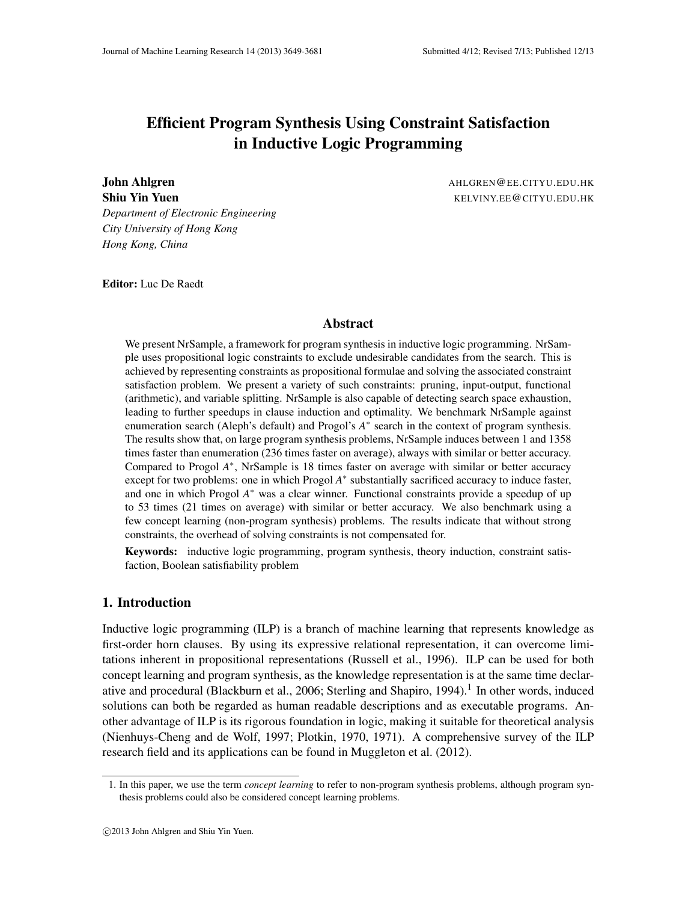# Efficient Program Synthesis Using Constraint Satisfaction in Inductive Logic Programming

*Department of Electronic Engineering City University of Hong Kong Hong Kong, China*

**John Ahlgren** AHLGREN@EE.CITYU.EDU.HK Shiu Yin Yuen Kelviny.EE@CITYU.EDU.HK

Editor: Luc De Raedt

## Abstract

We present NrSample, a framework for program synthesis in inductive logic programming. NrSample uses propositional logic constraints to exclude undesirable candidates from the search. This is achieved by representing constraints as propositional formulae and solving the associated constraint satisfaction problem. We present a variety of such constraints: pruning, input-output, functional (arithmetic), and variable splitting. NrSample is also capable of detecting search space exhaustion, leading to further speedups in clause induction and optimality. We benchmark NrSample against enumeration search (Aleph's default) and Progol's  $A^*$  search in the context of program synthesis. The results show that, on large program synthesis problems, NrSample induces between 1 and 1358 times faster than enumeration (236 times faster on average), always with similar or better accuracy. Compared to Progol *A* ∗ , NrSample is 18 times faster on average with similar or better accuracy except for two problems: one in which Progol  $A^*$  substantially sacrificed accuracy to induce faster, and one in which Progol A<sup>\*</sup> was a clear winner. Functional constraints provide a speedup of up to 53 times (21 times on average) with similar or better accuracy. We also benchmark using a few concept learning (non-program synthesis) problems. The results indicate that without strong constraints, the overhead of solving constraints is not compensated for.

Keywords: inductive logic programming, program synthesis, theory induction, constraint satisfaction, Boolean satisfiability problem

# 1. Introduction

Inductive logic programming (ILP) is a branch of machine learning that represents knowledge as first-order horn clauses. By using its expressive relational representation, it can overcome limitations inherent in propositional representations (Russell et al., 1996). ILP can be used for both concept learning and program synthesis, as the knowledge representation is at the same time declarative and procedural (Blackburn et al., 2006; Sterling and Shapiro, 1994).<sup>1</sup> In other words, induced solutions can both be regarded as human readable descriptions and as executable programs. Another advantage of ILP is its rigorous foundation in logic, making it suitable for theoretical analysis (Nienhuys-Cheng and de Wolf, 1997; Plotkin, 1970, 1971). A comprehensive survey of the ILP research field and its applications can be found in Muggleton et al. (2012).

<sup>1.</sup> In this paper, we use the term *concept learning* to refer to non-program synthesis problems, although program synthesis problems could also be considered concept learning problems.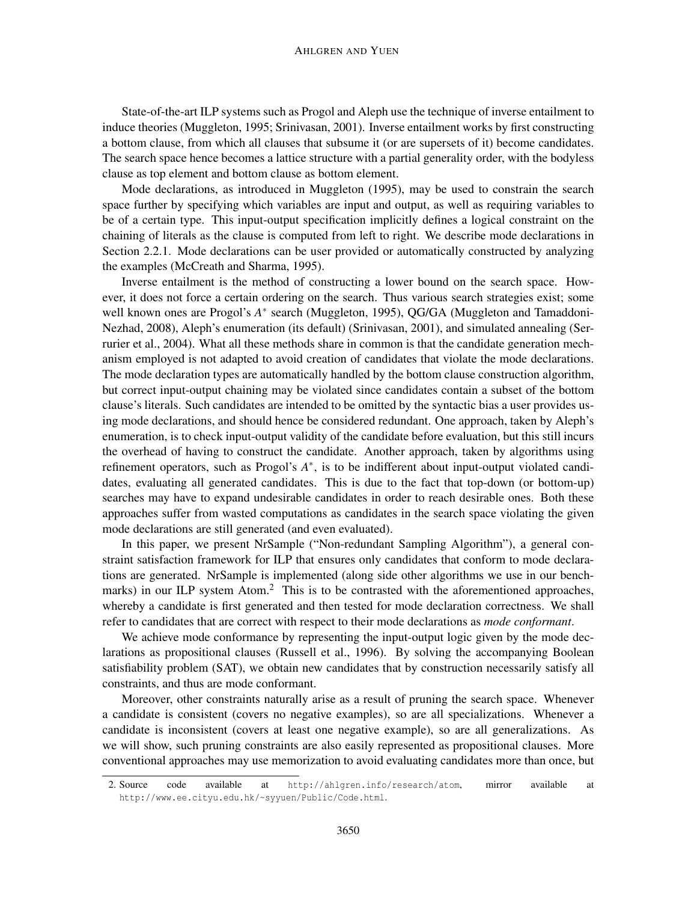#### AHLGREN AND YUEN

State-of-the-art ILP systems such as Progol and Aleph use the technique of inverse entailment to induce theories (Muggleton, 1995; Srinivasan, 2001). Inverse entailment works by first constructing a bottom clause, from which all clauses that subsume it (or are supersets of it) become candidates. The search space hence becomes a lattice structure with a partial generality order, with the bodyless clause as top element and bottom clause as bottom element.

Mode declarations, as introduced in Muggleton (1995), may be used to constrain the search space further by specifying which variables are input and output, as well as requiring variables to be of a certain type. This input-output specification implicitly defines a logical constraint on the chaining of literals as the clause is computed from left to right. We describe mode declarations in Section 2.2.1. Mode declarations can be user provided or automatically constructed by analyzing the examples (McCreath and Sharma, 1995).

Inverse entailment is the method of constructing a lower bound on the search space. However, it does not force a certain ordering on the search. Thus various search strategies exist; some well known ones are Progol's A<sup>\*</sup> search (Muggleton, 1995), QG/GA (Muggleton and Tamaddoni-Nezhad, 2008), Aleph's enumeration (its default) (Srinivasan, 2001), and simulated annealing (Serrurier et al., 2004). What all these methods share in common is that the candidate generation mechanism employed is not adapted to avoid creation of candidates that violate the mode declarations. The mode declaration types are automatically handled by the bottom clause construction algorithm, but correct input-output chaining may be violated since candidates contain a subset of the bottom clause's literals. Such candidates are intended to be omitted by the syntactic bias a user provides using mode declarations, and should hence be considered redundant. One approach, taken by Aleph's enumeration, is to check input-output validity of the candidate before evaluation, but this still incurs the overhead of having to construct the candidate. Another approach, taken by algorithms using refinement operators, such as Progol's  $A^*$ , is to be indifferent about input-output violated candidates, evaluating all generated candidates. This is due to the fact that top-down (or bottom-up) searches may have to expand undesirable candidates in order to reach desirable ones. Both these approaches suffer from wasted computations as candidates in the search space violating the given mode declarations are still generated (and even evaluated).

In this paper, we present NrSample ("Non-redundant Sampling Algorithm"), a general constraint satisfaction framework for ILP that ensures only candidates that conform to mode declarations are generated. NrSample is implemented (along side other algorithms we use in our benchmarks) in our ILP system Atom.<sup>2</sup> This is to be contrasted with the aforementioned approaches, whereby a candidate is first generated and then tested for mode declaration correctness. We shall refer to candidates that are correct with respect to their mode declarations as *mode conformant*.

We achieve mode conformance by representing the input-output logic given by the mode declarations as propositional clauses (Russell et al., 1996). By solving the accompanying Boolean satisfiability problem (SAT), we obtain new candidates that by construction necessarily satisfy all constraints, and thus are mode conformant.

Moreover, other constraints naturally arise as a result of pruning the search space. Whenever a candidate is consistent (covers no negative examples), so are all specializations. Whenever a candidate is inconsistent (covers at least one negative example), so are all generalizations. As we will show, such pruning constraints are also easily represented as propositional clauses. More conventional approaches may use memorization to avoid evaluating candidates more than once, but

<sup>2.</sup> Source code available at http://ahlgren.info/research/atom, mirror available at http://www.ee.cityu.edu.hk/~syyuen/Public/Code.html.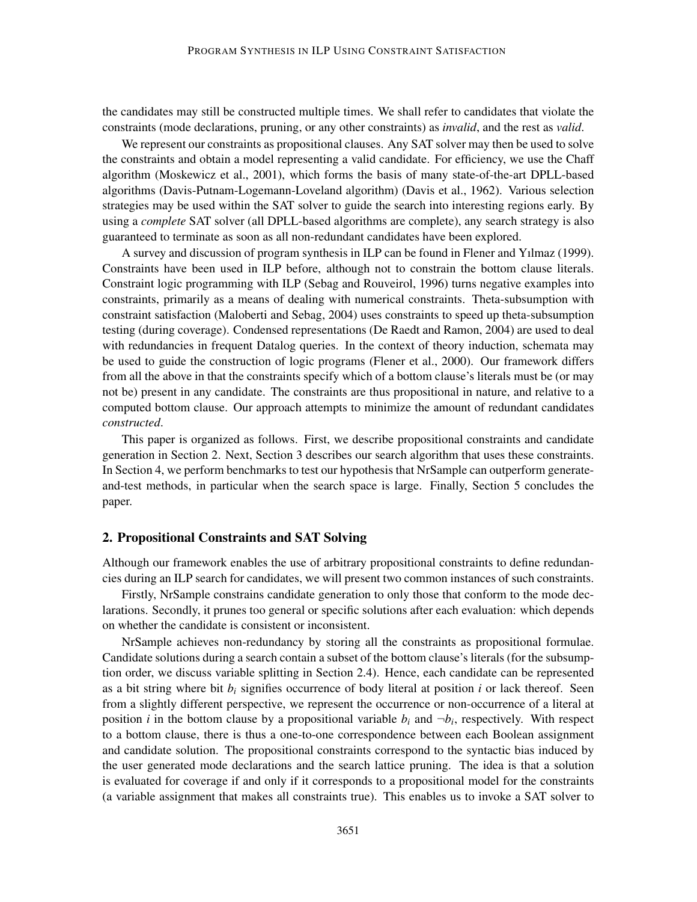the candidates may still be constructed multiple times. We shall refer to candidates that violate the constraints (mode declarations, pruning, or any other constraints) as *invalid*, and the rest as *valid*.

We represent our constraints as propositional clauses. Any SAT solver may then be used to solve the constraints and obtain a model representing a valid candidate. For efficiency, we use the Chaff algorithm (Moskewicz et al., 2001), which forms the basis of many state-of-the-art DPLL-based algorithms (Davis-Putnam-Logemann-Loveland algorithm) (Davis et al., 1962). Various selection strategies may be used within the SAT solver to guide the search into interesting regions early. By using a *complete* SAT solver (all DPLL-based algorithms are complete), any search strategy is also guaranteed to terminate as soon as all non-redundant candidates have been explored.

A survey and discussion of program synthesis in ILP can be found in Flener and Yılmaz (1999). Constraints have been used in ILP before, although not to constrain the bottom clause literals. Constraint logic programming with ILP (Sebag and Rouveirol, 1996) turns negative examples into constraints, primarily as a means of dealing with numerical constraints. Theta-subsumption with constraint satisfaction (Maloberti and Sebag, 2004) uses constraints to speed up theta-subsumption testing (during coverage). Condensed representations (De Raedt and Ramon, 2004) are used to deal with redundancies in frequent Datalog queries. In the context of theory induction, schemata may be used to guide the construction of logic programs (Flener et al., 2000). Our framework differs from all the above in that the constraints specify which of a bottom clause's literals must be (or may not be) present in any candidate. The constraints are thus propositional in nature, and relative to a computed bottom clause. Our approach attempts to minimize the amount of redundant candidates *constructed*.

This paper is organized as follows. First, we describe propositional constraints and candidate generation in Section 2. Next, Section 3 describes our search algorithm that uses these constraints. In Section 4, we perform benchmarks to test our hypothesis that NrSample can outperform generateand-test methods, in particular when the search space is large. Finally, Section 5 concludes the paper.

#### 2. Propositional Constraints and SAT Solving

Although our framework enables the use of arbitrary propositional constraints to define redundancies during an ILP search for candidates, we will present two common instances of such constraints.

Firstly, NrSample constrains candidate generation to only those that conform to the mode declarations. Secondly, it prunes too general or specific solutions after each evaluation: which depends on whether the candidate is consistent or inconsistent.

NrSample achieves non-redundancy by storing all the constraints as propositional formulae. Candidate solutions during a search contain a subset of the bottom clause's literals (for the subsumption order, we discuss variable splitting in Section 2.4). Hence, each candidate can be represented as a bit string where bit  $b_i$  signifies occurrence of body literal at position  $i$  or lack thereof. Seen from a slightly different perspective, we represent the occurrence or non-occurrence of a literal at position *i* in the bottom clause by a propositional variable  $b_i$  and  $\neg b_i$ , respectively. With respect to a bottom clause, there is thus a one-to-one correspondence between each Boolean assignment and candidate solution. The propositional constraints correspond to the syntactic bias induced by the user generated mode declarations and the search lattice pruning. The idea is that a solution is evaluated for coverage if and only if it corresponds to a propositional model for the constraints (a variable assignment that makes all constraints true). This enables us to invoke a SAT solver to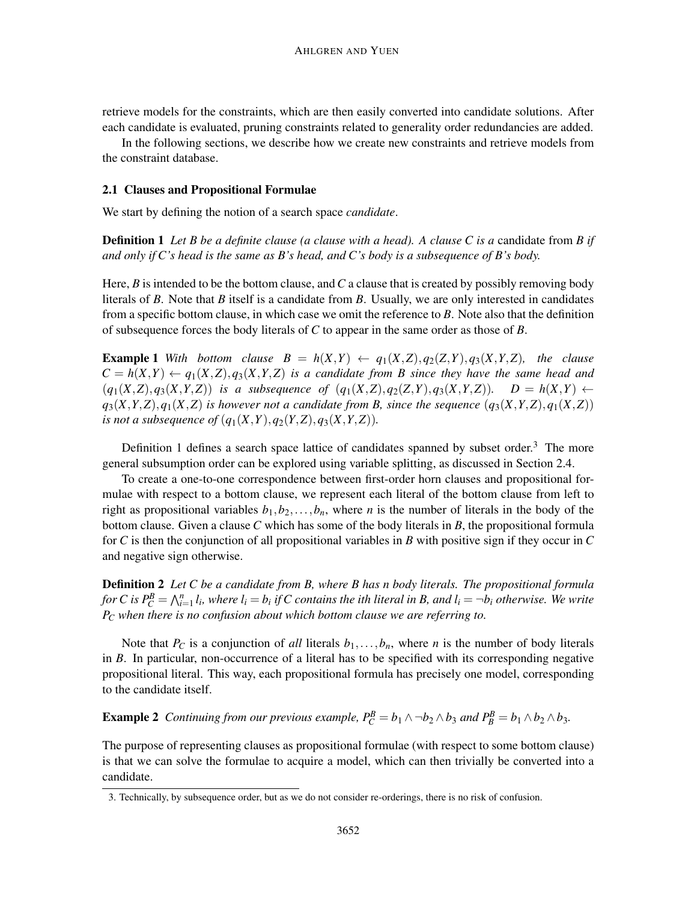retrieve models for the constraints, which are then easily converted into candidate solutions. After each candidate is evaluated, pruning constraints related to generality order redundancies are added.

In the following sections, we describe how we create new constraints and retrieve models from the constraint database.

## 2.1 Clauses and Propositional Formulae

We start by defining the notion of a search space *candidate*.

**Definition 1** Let B be a definite clause (a clause with a head). A clause C is a candidate from B if *and only if C's head is the same as B's head, and C's body is a subsequence of B's body.*

Here, *B* is intended to be the bottom clause, and*C* a clause that is created by possibly removing body literals of *B*. Note that *B* itself is a candidate from *B*. Usually, we are only interested in candidates from a specific bottom clause, in which case we omit the reference to *B*. Note also that the definition of subsequence forces the body literals of *C* to appear in the same order as those of *B*.

**Example 1** With bottom clause  $B = h(X,Y) \leftarrow q_1(X,Z), q_2(Z,Y), q_3(X,Y,Z)$ , the clause  $C = h(X,Y) \leftarrow q_1(X,Z), q_3(X,Y,Z)$  *is a candidate from B since they have the same head and*  $(q_1(X,Z), q_3(X,Y,Z))$  is a subsequence of  $(q_1(X,Z), q_2(Z,Y), q_3(X,Y,Z))$ .  $D = h(X,Y)$   $\leftarrow$  $q_3(X,Y,Z), q_1(X,Z)$  *is however not a candidate from B, since the sequence*  $(q_3(X,Y,Z), q_1(X,Z))$ *is not a subsequence of*  $(q_1(X, Y), q_2(Y, Z), q_3(X, Y, Z))$ .

Definition 1 defines a search space lattice of candidates spanned by subset order.<sup>3</sup> The more general subsumption order can be explored using variable splitting, as discussed in Section 2.4.

To create a one-to-one correspondence between first-order horn clauses and propositional formulae with respect to a bottom clause, we represent each literal of the bottom clause from left to right as propositional variables  $b_1, b_2, \ldots, b_n$ , where *n* is the number of literals in the body of the bottom clause. Given a clause *C* which has some of the body literals in *B*, the propositional formula for *C* is then the conjunction of all propositional variables in *B* with positive sign if they occur in *C* and negative sign otherwise.

**Definition 2** Let C be a candidate from B, where B has n body literals. The propositional formula *for* C is  $P_C^B = \bigwedge_{i=1}^n l_i$ , where  $l_i = b_i$  if C contains the ith literal in B, and  $l_i = \neg b_i$  otherwise. We write *P<sup>C</sup> when there is no confusion about which bottom clause we are referring to.*

Note that  $P_C$  is a conjunction of *all* literals  $b_1, \ldots, b_n$ , where *n* is the number of body literals in *B*. In particular, non-occurrence of a literal has to be specified with its corresponding negative propositional literal. This way, each propositional formula has precisely one model, corresponding to the candidate itself.

**Example 2** Continuing from our previous example,  $P_C^B = b_1 \wedge \neg b_2 \wedge b_3$  and  $P_B^B = b_1 \wedge b_2 \wedge b_3$ .

The purpose of representing clauses as propositional formulae (with respect to some bottom clause) is that we can solve the formulae to acquire a model, which can then trivially be converted into a candidate.

<sup>3.</sup> Technically, by subsequence order, but as we do not consider re-orderings, there is no risk of confusion.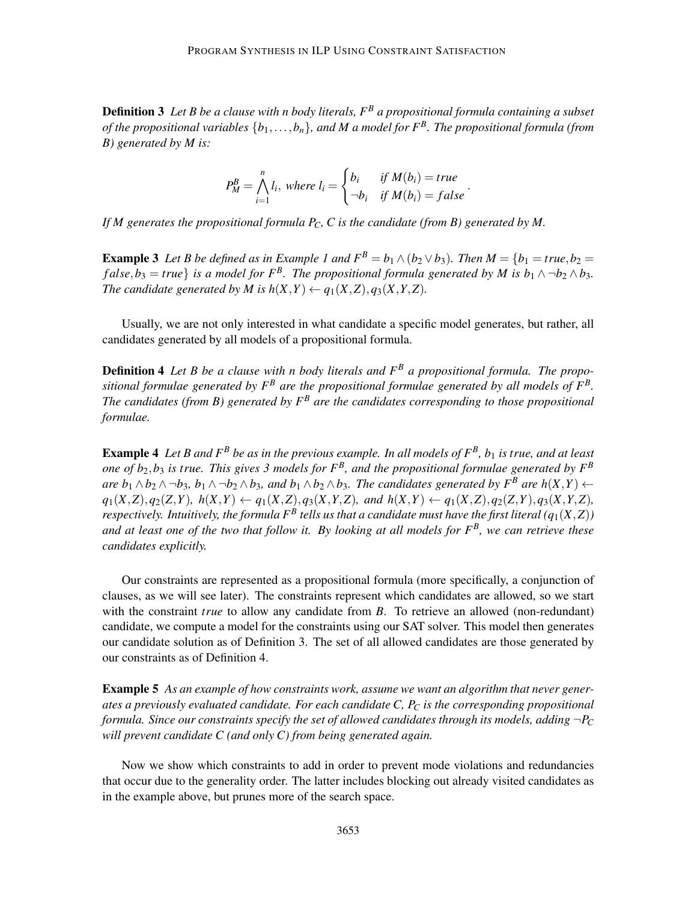Definition 3 *Let B be a clause with n body literals, F<sup>B</sup> a propositional formula containing a subset of the propositional variables* {*b*1,...,*bn*}*, and M a model for F<sup>B</sup> . The propositional formula (from B) generated by M is:*

$$
P_M^B = \bigwedge_{i=1}^n l_i, \text{ where } l_i = \begin{cases} b_i & \text{if } M(b_i) = true \\ \neg b_i & \text{if } M(b_i) = false \end{cases}
$$

.

*If M generates the propositional formula PC, C is the candidate (from B) generated by M.*

**Example 3** Let B be defined as in Example 1 and  $F^B = b_1 \wedge (b_2 \vee b_3)$ . Then  $M = \{b_1 = true, b_2 = 0\}$  $f$ alse,  $b_3 = true$  *is a model for*  $F^B$ . The propositional formula generated by M is  $b_1 \wedge \neg b_2 \wedge b_3$ . *The candidate generated by M is*  $h(X, Y) \leftarrow q_1(X, Z), q_3(X, Y, Z)$ *.* 

Usually, we are not only interested in what candidate a specific model generates, but rather, all candidates generated by all models of a propositional formula.

Definition 4 *Let B be a clause with n body literals and F<sup>B</sup> a propositional formula. The propositional formulae generated by F<sup>B</sup> are the propositional formulae generated by all models of F<sup>B</sup> . The candidates (from B) generated by F<sup>B</sup> are the candidates corresponding to those propositional formulae.*

Example 4 *Let B and F<sup>B</sup> be as in the previous example. In all models of F<sup>B</sup> , b*<sup>1</sup> *is true, and at least one of*  $b_2$ , $b_3$  *is true. This gives 3 models for F<sup>B</sup>, and the propositional formulae generated by F<sup>B</sup> are*  $b_1 \wedge b_2 \wedge \neg b_3$ ,  $b_1 \wedge \neg b_2 \wedge b_3$ , and  $b_1 \wedge b_2 \wedge b_3$ . The candidates generated by  $F^B$  are  $h(X,Y)$  ←  $q_1(X,Z), q_2(Z,Y), h(X,Y) \leftarrow q_1(X,Z), q_3(X,Y,Z),$  and  $h(X,Y) \leftarrow q_1(X,Z), q_2(Z,Y), q_3(X,Y,Z),$ respectively. Intuitively, the formula  $F^B$  tells us that a candidate must have the first literal  $(q_1(X,Z))$ *and at least one of the two that follow it. By looking at all models for F<sup>B</sup> , we can retrieve these candidates explicitly.*

Our constraints are represented as a propositional formula (more specifically, a conjunction of clauses, as we will see later). The constraints represent which candidates are allowed, so we start with the constraint *true* to allow any candidate from *B*. To retrieve an allowed (non-redundant) candidate, we compute a model for the constraints using our SAT solver. This model then generates our candidate solution as of Definition 3. The set of all allowed candidates are those generated by our constraints as of Definition 4.

**Example 5** As an example of how constraints work, assume we want an algorithm that never gener*ates a previously evaluated candidate. For each candidate C, P<sup>C</sup> is the corresponding propositional formula. Since our constraints specify the set of allowed candidates through its models, adding*  $\neg P_C$ *will prevent candidate C (and only C) from being generated again.*

Now we show which constraints to add in order to prevent mode violations and redundancies that occur due to the generality order. The latter includes blocking out already visited candidates as in the example above, but prunes more of the search space.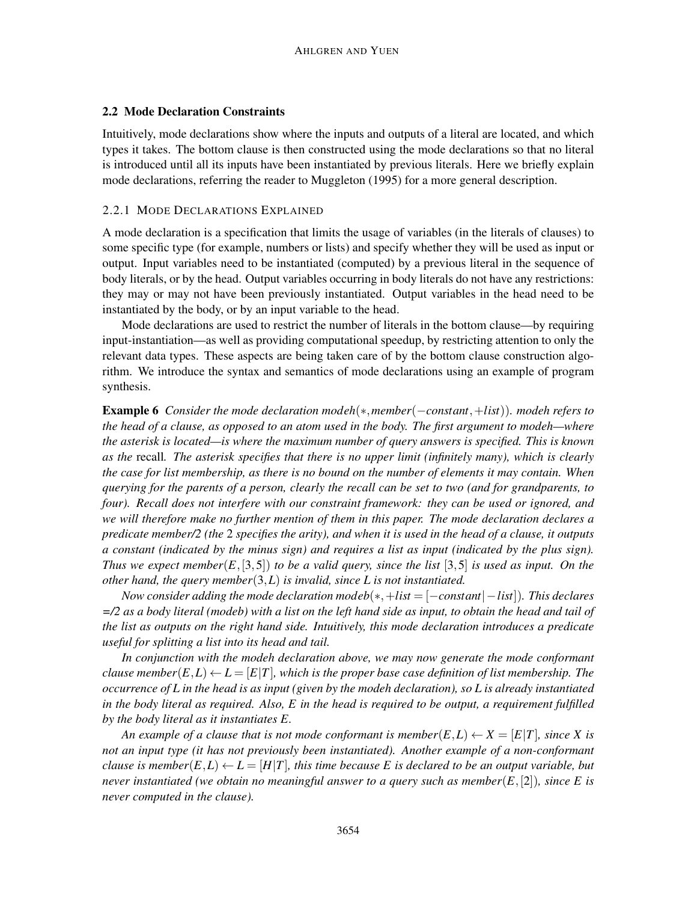## 2.2 Mode Declaration Constraints

Intuitively, mode declarations show where the inputs and outputs of a literal are located, and which types it takes. The bottom clause is then constructed using the mode declarations so that no literal is introduced until all its inputs have been instantiated by previous literals. Here we briefly explain mode declarations, referring the reader to Muggleton (1995) for a more general description.

#### 2.2.1 MODE DECLARATIONS EXPLAINED

A mode declaration is a specification that limits the usage of variables (in the literals of clauses) to some specific type (for example, numbers or lists) and specify whether they will be used as input or output. Input variables need to be instantiated (computed) by a previous literal in the sequence of body literals, or by the head. Output variables occurring in body literals do not have any restrictions: they may or may not have been previously instantiated. Output variables in the head need to be instantiated by the body, or by an input variable to the head.

Mode declarations are used to restrict the number of literals in the bottom clause—by requiring input-instantiation—as well as providing computational speedup, by restricting attention to only the relevant data types. These aspects are being taken care of by the bottom clause construction algorithm. We introduce the syntax and semantics of mode declarations using an example of program synthesis.

Example 6 *Consider the mode declaration modeh*(∗,*member*(−*constant*,+*list*))*. modeh refers to the head of a clause, as opposed to an atom used in the body. The first argument to modeh—where the asterisk is located—is where the maximum number of query answers is specified. This is known as the* recall*. The asterisk specifies that there is no upper limit (infinitely many), which is clearly the case for list membership, as there is no bound on the number of elements it may contain. When querying for the parents of a person, clearly the recall can be set to two (and for grandparents, to four). Recall does not interfere with our constraint framework: they can be used or ignored, and we will therefore make no further mention of them in this paper. The mode declaration declares a predicate member/2 (the* 2 *specifies the arity), and when it is used in the head of a clause, it outputs a constant (indicated by the minus sign) and requires a list as input (indicated by the plus sign). Thus we expect member*( $E$ , [3,5]) *to be a valid query, since the list* [3,5] *is used as input. On the other hand, the query member*(3,*L*) *is invalid, since L is not instantiated.*

*Now consider adding the mode declaration modeb*(∗,+*list* = [−*constant*|−*list*])*. This declares =/2 as a body literal (modeb) with a list on the left hand side as input, to obtain the head and tail of the list as outputs on the right hand side. Intuitively, this mode declaration introduces a predicate useful for splitting a list into its head and tail.*

*In conjunction with the modeh declaration above, we may now generate the mode conformant clause member*( $E, L$ ) ←  $L = |E|T|$ , which is the proper base case definition of list membership. The *occurrence of L in the head is as input (given by the modeh declaration), so L is already instantiated in the body literal as required. Also, E in the head is required to be output, a requirement fulfilled by the body literal as it instantiates E.*

*An example of a clause that is not mode conformant is member* $(E, L) \leftarrow X = [E|T]$ *, since X is not an input type (it has not previously been instantiated). Another example of a non-conformant clause is member*( $E, L$ )  $\leftarrow$   $L = [H|T]$ , this time because E is declared to be an output variable, but *never instantiated (we obtain no meaningful answer to a query such as member*(*E*,[2])*, since E is never computed in the clause).*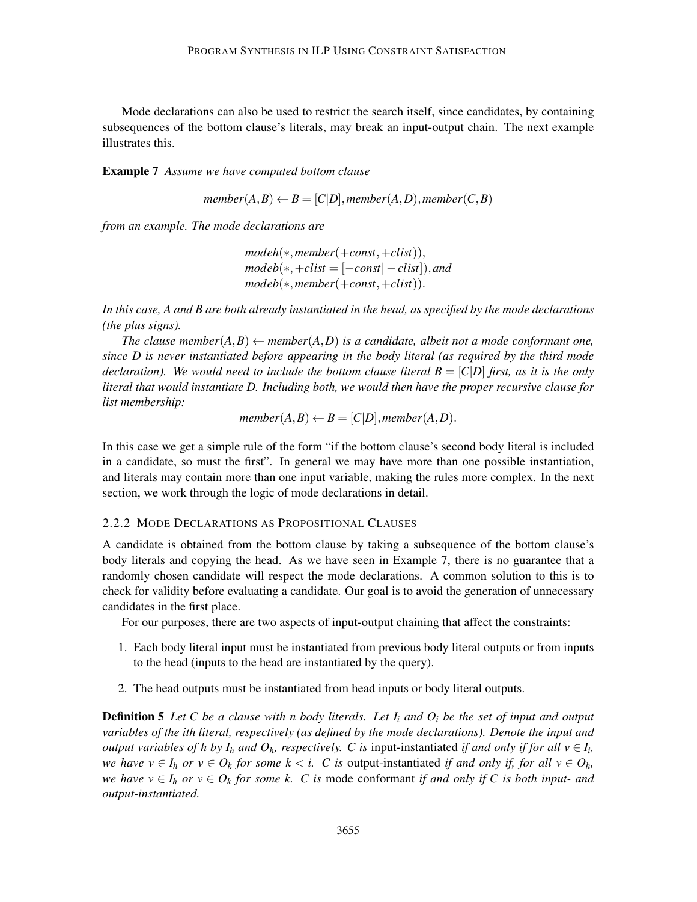Mode declarations can also be used to restrict the search itself, since candidates, by containing subsequences of the bottom clause's literals, may break an input-output chain. The next example illustrates this.

Example 7 *Assume we have computed bottom clause*

$$
member(A, B) \leftarrow B = [C|D], member(A, D), member(C, B)
$$

*from an example. The mode declarations are*

*modeh*(∗,*member*(+*const*,+*clist*)),  $modeb(*, +clist = [-const] - clist]), and$ *modeb*(∗,*member*(+*const*,+*clist*)).

*In this case, A and B are both already instantiated in the head, as specified by the mode declarations (the plus signs).*

*The clause member* $(A, B) \leftarrow$  *member* $(A, D)$  *is a candidate, albeit not a mode conformant one, since D is never instantiated before appearing in the body literal (as required by the third mode declaration). We would need to include the bottom clause literal*  $B = [C|D]$  *first, as it is the only literal that would instantiate D. Including both, we would then have the proper recursive clause for list membership:*

$$
member(A, B) \leftarrow B = [C|D], member(A, D).
$$

In this case we get a simple rule of the form "if the bottom clause's second body literal is included in a candidate, so must the first". In general we may have more than one possible instantiation, and literals may contain more than one input variable, making the rules more complex. In the next section, we work through the logic of mode declarations in detail.

#### 2.2.2 MODE DECLARATIONS AS PROPOSITIONAL CLAUSES

A candidate is obtained from the bottom clause by taking a subsequence of the bottom clause's body literals and copying the head. As we have seen in Example 7, there is no guarantee that a randomly chosen candidate will respect the mode declarations. A common solution to this is to check for validity before evaluating a candidate. Our goal is to avoid the generation of unnecessary candidates in the first place.

For our purposes, there are two aspects of input-output chaining that affect the constraints:

- 1. Each body literal input must be instantiated from previous body literal outputs or from inputs to the head (inputs to the head are instantiated by the query).
- 2. The head outputs must be instantiated from head inputs or body literal outputs.

Definition 5 *Let C be a clause with n body literals. Let I<sup>i</sup> and O<sup>i</sup> be the set of input and output variables of the ith literal, respectively (as defined by the mode declarations). Denote the input and output variables of h by*  $I_h$  *and*  $O_h$ *, respectively. C is input-instantiated if and only if for all*  $v \in I_i$ *, we have*  $v \in I_h$  *or*  $v \in O_k$  *for some k* < *i. C is* output-instantiated *if and only if, for all*  $v \in O_h$ *, we have*  $v \in I_h$  *or*  $v \in O_k$  *for some k. C is mode conformant if and only if C is both input- and output-instantiated.*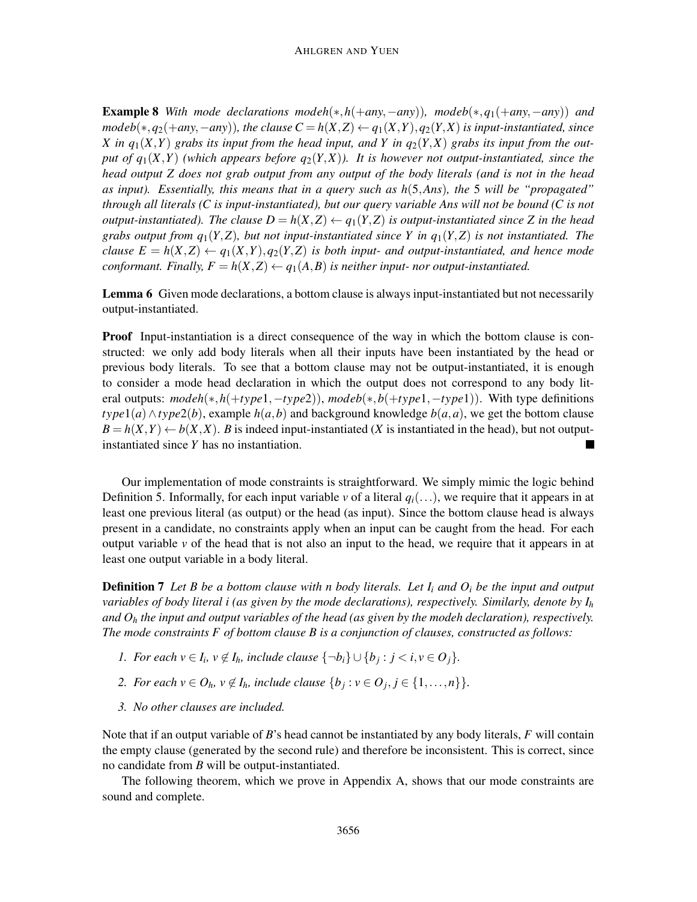**Example 8** With mode declarations modeh(\*,h(+*any*,−*any*)), modeb(\*, $q_1$ (+*any*,−*any*)) *and modeb*( $\ast$ , *q*<sub>2</sub>( $+$ *any*,−*any*)), the clause  $C = h(X,Z) \leftarrow q_1(X,Y), q_2(Y,X)$  is input-instantiated, since *X* in  $q_1(X,Y)$  grabs its input from the head input, and *Y* in  $q_2(Y,X)$  grabs its input from the out*put of*  $q_1(X,Y)$  *(which appears before*  $q_2(Y,X)$ *). It is however not output-instantiated, since the head output Z does not grab output from any output of the body literals (and is not in the head as input). Essentially, this means that in a query such as h*(5,*Ans*)*, the* 5 *will be "propagated" through all literals (C is input-instantiated), but our query variable Ans will not be bound (C is not output-instantiated). The clause*  $D = h(X, Z) \leftarrow q_1(Y, Z)$  *is output-instantiated since* Z *in the head grabs output from*  $q_1(Y, Z)$ *, but not input-instantiated since Y in*  $q_1(Y, Z)$  *is not instantiated. The clause*  $E = h(X, Z) \leftarrow q_1(X, Y), q_2(Y, Z)$  *is both input- and output-instantiated, and hence mode conformant. Finally,*  $F = h(X, Z) \leftarrow q_1(A, B)$  *is neither input- nor output-instantiated.* 

Lemma 6 Given mode declarations, a bottom clause is always input-instantiated but not necessarily output-instantiated.

**Proof** Input-instantiation is a direct consequence of the way in which the bottom clause is constructed: we only add body literals when all their inputs have been instantiated by the head or previous body literals. To see that a bottom clause may not be output-instantiated, it is enough to consider a mode head declaration in which the output does not correspond to any body literal outputs: *modeh*(∗,*h*(+*type*1,−*type*2)), *modeb*(∗,*b*(+*type*1,−*type*1)). With type definitions *type*1(*a*)∧*type*2(*b*), example *h*(*a*,*b*) and background knowledge *b*(*a*,*a*), we get the bottom clause  $B = h(X, Y) \leftarrow b(X, X)$ . *B* is indeed input-instantiated (*X* is instantiated in the head), but not outputinstantiated since *Y* has no instantiation.

Our implementation of mode constraints is straightforward. We simply mimic the logic behind Definition 5. Informally, for each input variable  $\nu$  of a literal  $q_i(\ldots)$ , we require that it appears in at least one previous literal (as output) or the head (as input). Since the bottom clause head is always present in a candidate, no constraints apply when an input can be caught from the head. For each output variable  $\nu$  of the head that is not also an input to the head, we require that it appears in at least one output variable in a body literal.

Definition 7 *Let B be a bottom clause with n body literals. Let I<sup>i</sup> and O<sup>i</sup> be the input and output variables of body literal i (as given by the mode declarations), respectively. Similarly, denote by I<sup>h</sup> and O<sup>h</sup> the input and output variables of the head (as given by the modeh declaration), respectively. The mode constraints F of bottom clause B is a conjunction of clauses, constructed as follows:*

- *1. For each*  $v \in I_i$ ,  $v \notin I_h$ , include clause  $\{\neg b_i\} \cup \{b_j : j < i, v \in O_j\}$ .
- *2. For each*  $v \in O_h$ ,  $v \notin I_h$ , include clause  $\{b_j : v \in O_j, j \in \{1, \ldots, n\}\}.$
- *3. No other clauses are included.*

Note that if an output variable of *B*'s head cannot be instantiated by any body literals, *F* will contain the empty clause (generated by the second rule) and therefore be inconsistent. This is correct, since no candidate from *B* will be output-instantiated.

The following theorem, which we prove in Appendix A, shows that our mode constraints are sound and complete.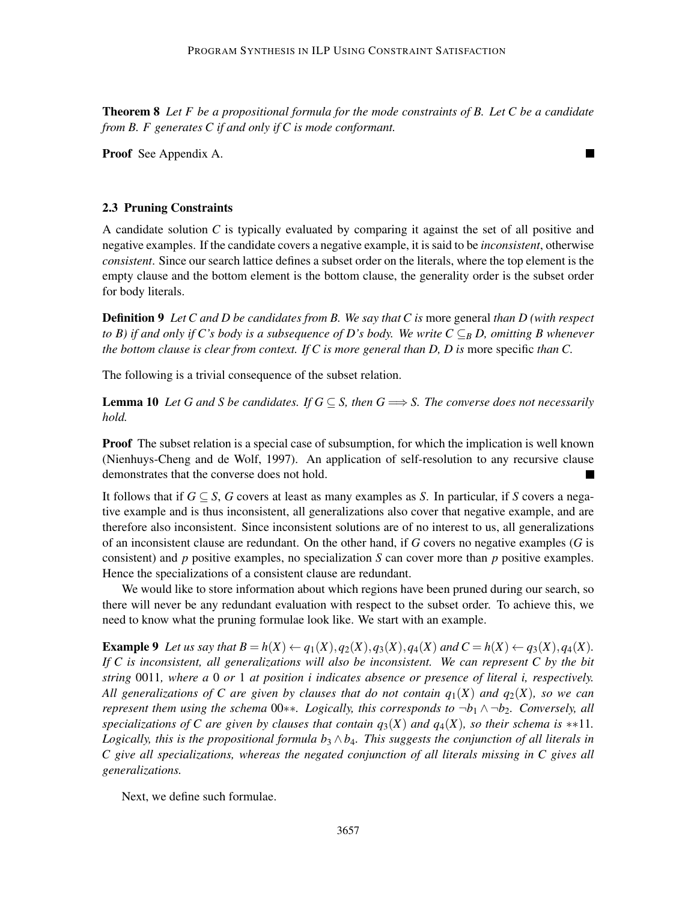Theorem 8 *Let F be a propositional formula for the mode constraints of B. Let C be a candidate from B. F generates C if and only if C is mode conformant.*

 $\blacksquare$ 

Proof See Appendix A.

## 2.3 Pruning Constraints

A candidate solution *C* is typically evaluated by comparing it against the set of all positive and negative examples. If the candidate covers a negative example, it is said to be *inconsistent*, otherwise *consistent*. Since our search lattice defines a subset order on the literals, where the top element is the empty clause and the bottom element is the bottom clause, the generality order is the subset order for body literals.

Definition 9 *Let C and D be candidates from B. We say that C is* more general *than D (with respect to B) if and only if C's body is a subsequence of D's body. We write*  $C \subseteq_B D$ *, omitting B whenever the bottom clause is clear from context. If C is more general than D, D is* more specific *than C.*

The following is a trivial consequence of the subset relation.

**Lemma 10** Let G and S be candidates. If  $G \subseteq S$ , then  $G \implies S$ . The converse does not necessarily *hold.*

**Proof** The subset relation is a special case of subsumption, for which the implication is well known (Nienhuys-Cheng and de Wolf, 1997). An application of self-resolution to any recursive clause demonstrates that the converse does not hold.

It follows that if  $G \subseteq S$ , *G* covers at least as many examples as *S*. In particular, if *S* covers a negative example and is thus inconsistent, all generalizations also cover that negative example, and are therefore also inconsistent. Since inconsistent solutions are of no interest to us, all generalizations of an inconsistent clause are redundant. On the other hand, if *G* covers no negative examples (*G* is consistent) and *p* positive examples, no specialization *S* can cover more than *p* positive examples. Hence the specializations of a consistent clause are redundant.

We would like to store information about which regions have been pruned during our search, so there will never be any redundant evaluation with respect to the subset order. To achieve this, we need to know what the pruning formulae look like. We start with an example.

**Example 9** Let us say that  $B = h(X) \leftarrow q_1(X), q_2(X), q_3(X), q_4(X)$  and  $C = h(X) \leftarrow q_3(X), q_4(X)$ . *If C is inconsistent, all generalizations will also be inconsistent. We can represent C by the bit string* 0011*, where a* 0 *or* 1 *at position i indicates absence or presence of literal i, respectively. All generalizations of C are given by clauses that do not contain q*1(*X*) *and q*2(*X*)*, so we can represent them using the schema* 00∗∗*. Logically, this corresponds to* ¬*b*<sup>1</sup> ∧ ¬*b*2*. Conversely, all specializations of C are given by clauses that contain*  $q_3(X)$  *and*  $q_4(X)$ *, so their schema is* \*\*11*. Logically, this is the propositional formula b*<sub>3</sub>  $\wedge$  *b*<sub>4</sub>*. This suggests the conjunction of all literals in C give all specializations, whereas the negated conjunction of all literals missing in C gives all generalizations.*

Next, we define such formulae.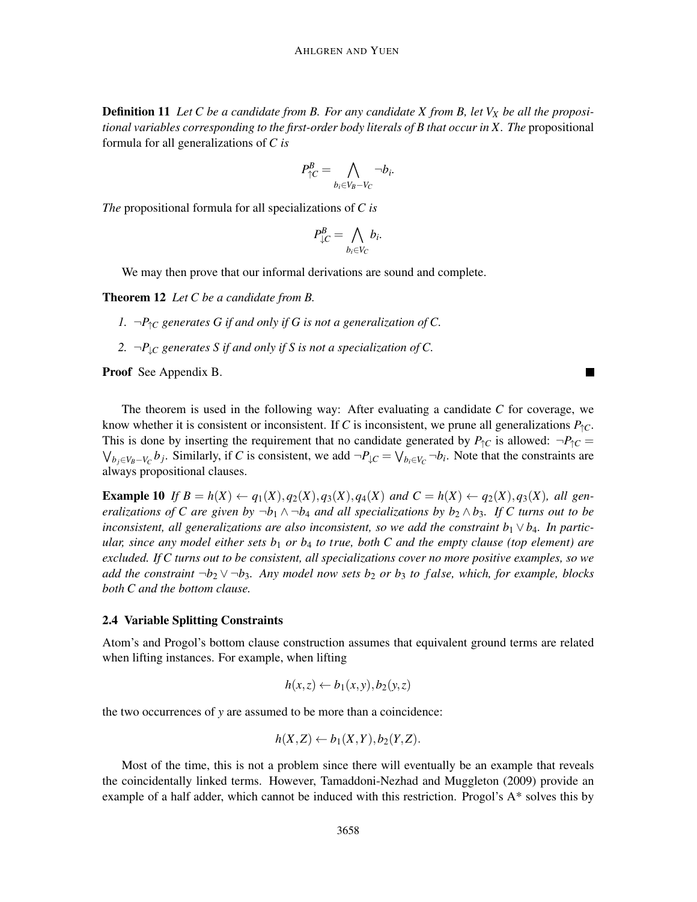Definition 11 *Let C be a candidate from B. For any candidate X from B, let V<sup>X</sup> be all the propositional variables corresponding to the first-order body literals of B that occur in X. The* propositional formula for all generalizations of *C is*

$$
P_{\uparrow C}^B = \bigwedge_{b_i \in V_B - V_C} \neg b_i.
$$

*The* propositional formula for all specializations of *C is*

$$
P_{\downarrow C}^B = \bigwedge_{b_i \in V_C} b_i.
$$

We may then prove that our informal derivations are sound and complete.

Theorem 12 *Let C be a candidate from B.*

*1.*  $\neg P$ ↑*C* generates G if and only if G is not a generalization of C.

2.  $\neg P_{\perp C}$  generates S if and only if S is not a specialization of C.

Proof See Appendix B.

The theorem is used in the following way: After evaluating a candidate *C* for coverage, we know whether it is consistent or inconsistent. If *C* is inconsistent, we prune all generalizations  $P_{\uparrow C}$ . This is done by inserting the requirement that no candidate generated by  $P_{\uparrow}C$  is allowed:  $\neg P_{\uparrow}C$  $\bigvee_{b_j \in V_B - V_C} b_j$ . Similarly, if *C* is consistent, we add  $\neg P_{\downarrow C} = \bigvee_{b_i \in V_C} \neg b_i$ . Note that the constraints are always propositional clauses.

**Example 10** If  $B = h(X) \leftarrow q_1(X), q_2(X), q_3(X), q_4(X)$  and  $C = h(X) \leftarrow q_2(X), q_3(X),$  all gen*eralizations of C are given by*  $\neg b_1 \wedge \neg b_4$  *and all specializations by*  $b_2 \wedge b_3$ *. If C turns out to be inconsistent, all generalizations are also inconsistent, so we add the constraint*  $b_1 \vee b_4$ *. In particular, since any model either sets b*<sup>1</sup> *or b*<sup>4</sup> *to true, both C and the empty clause (top element) are excluded. If C turns out to be consistent, all specializations cover no more positive examples, so we add the constraint* ¬*b*<sup>2</sup> ∨ ¬*b*3*. Any model now sets b*<sup>2</sup> *or b*<sup>3</sup> *to f alse, which, for example, blocks both C and the bottom clause.*

## 2.4 Variable Splitting Constraints

Atom's and Progol's bottom clause construction assumes that equivalent ground terms are related when lifting instances. For example, when lifting

$$
h(x,z) \leftarrow b_1(x,y), b_2(y,z)
$$

the two occurrences of *y* are assumed to be more than a coincidence:

$$
h(X,Z) \leftarrow b_1(X,Y), b_2(Y,Z).
$$

Most of the time, this is not a problem since there will eventually be an example that reveals the coincidentally linked terms. However, Tamaddoni-Nezhad and Muggleton (2009) provide an example of a half adder, which cannot be induced with this restriction. Progol's A\* solves this by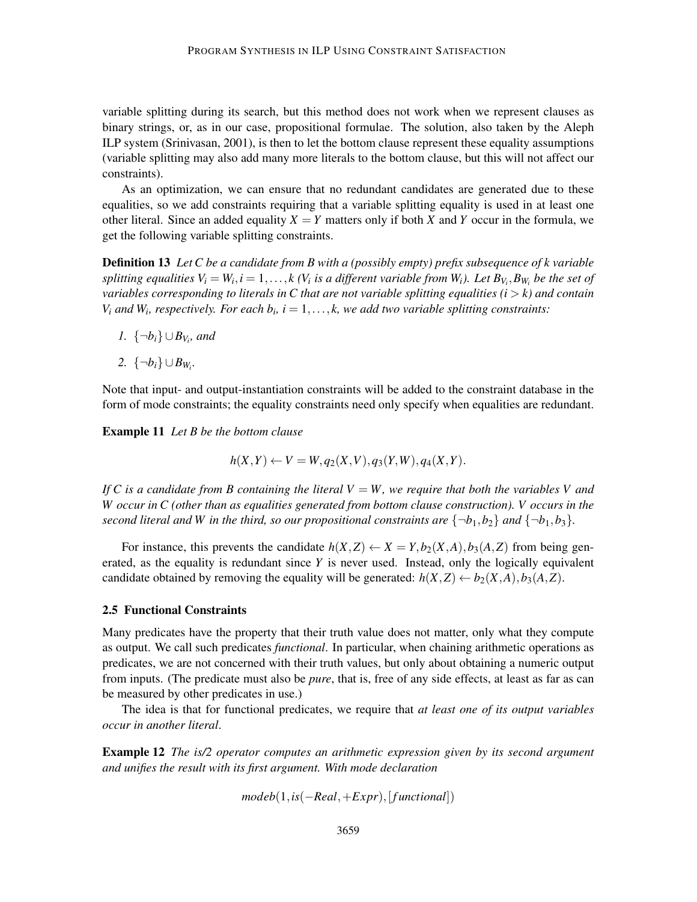variable splitting during its search, but this method does not work when we represent clauses as binary strings, or, as in our case, propositional formulae. The solution, also taken by the Aleph ILP system (Srinivasan, 2001), is then to let the bottom clause represent these equality assumptions (variable splitting may also add many more literals to the bottom clause, but this will not affect our constraints).

As an optimization, we can ensure that no redundant candidates are generated due to these equalities, so we add constraints requiring that a variable splitting equality is used in at least one other literal. Since an added equality  $X = Y$  matters only if both *X* and *Y* occur in the formula, we get the following variable splitting constraints.

Definition 13 *Let C be a candidate from B with a (possibly empty) prefix subsequence of k variable splitting equalities*  $V_i = W_i$ ,  $i = 1, ..., k$  ( $V_i$  *is a different variable from*  $W_i$ ). Let  $B_{V_i}, B_{W_i}$  be the set of *variables corresponding to literals in C that are not variable splitting equalities (i* > *k) and contain*  $V_i$  *and*  $W_i$ , respectively. For each  $b_i$ ,  $i = 1, \ldots, k$ , we add two variable splitting constraints:

- *1.*  $\{\neg b_i\} \cup B_{V_i}$ *, and*
- 2.  $\{\neg b_i\} \cup B_{W_i}$ *.*

Note that input- and output-instantiation constraints will be added to the constraint database in the form of mode constraints; the equality constraints need only specify when equalities are redundant.

Example 11 *Let B be the bottom clause*

$$
h(X,Y) \leftarrow V = W, q_2(X,V), q_3(Y,W), q_4(X,Y).
$$

*If* C is a candidate from B containing the literal  $V = W$ , we require that both the variables V and *W occur in C (other than as equalities generated from bottom clause construction). V occurs in the second literal and W in the third, so our propositional constraints are*  $\{\neg b_1, b_2\}$  *and*  $\{\neg b_1, b_3\}$ *.* 

For instance, this prevents the candidate  $h(X, Z) \leftarrow X = Y, b_2(X, A), b_3(A, Z)$  from being generated, as the equality is redundant since *Y* is never used. Instead, only the logically equivalent candidate obtained by removing the equality will be generated:  $h(X, Z) \leftarrow b_2(X, A), b_3(A, Z)$ .

#### 2.5 Functional Constraints

Many predicates have the property that their truth value does not matter, only what they compute as output. We call such predicates *functional*. In particular, when chaining arithmetic operations as predicates, we are not concerned with their truth values, but only about obtaining a numeric output from inputs. (The predicate must also be *pure*, that is, free of any side effects, at least as far as can be measured by other predicates in use.)

The idea is that for functional predicates, we require that *at least one of its output variables occur in another literal*.

Example 12 *The is/2 operator computes an arithmetic expression given by its second argument and unifies the result with its first argument. With mode declaration*

$$
modeb(1, is(-Real,+Expr),[functional])
$$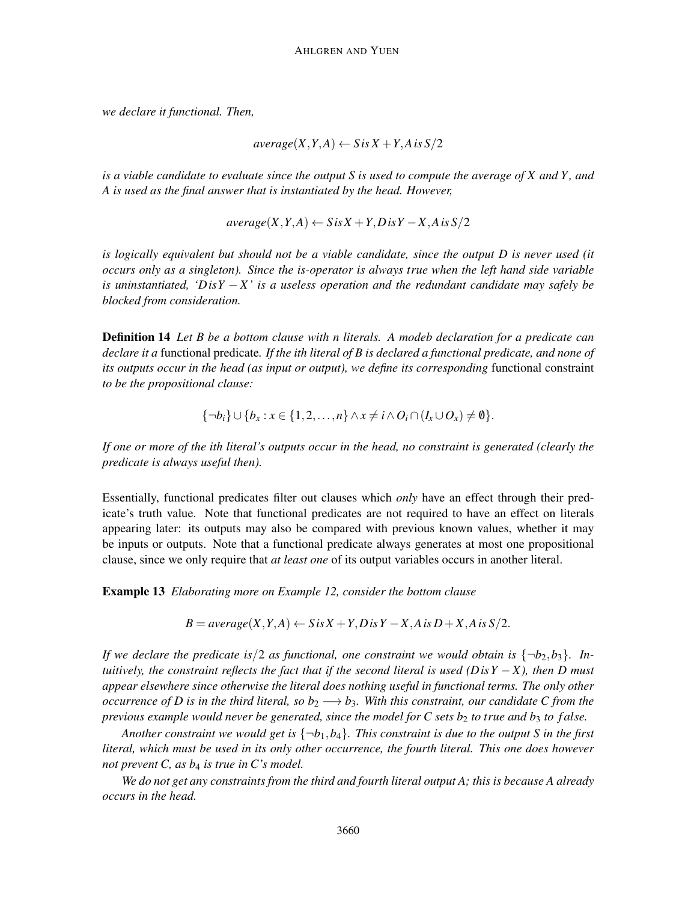*we declare it functional. Then,*

$$
average(X, Y, A) \leftarrow S \, \text{is} \, X + Y, A \, \text{is} \, S/2
$$

*is a viable candidate to evaluate since the output S is used to compute the average of X and Y , and A is used as the final answer that is instantiated by the head. However,*

 $average(X, Y, A) \leftarrow S$ *is*  $X + Y, D$ *is*  $Y - X, A$ *is*  $S/2$ 

*is logically equivalent but should not be a viable candidate, since the output D is never used (it occurs only as a singleton). Since the is-operator is always true when the left hand side variable is uninstantiated, 'DisY* − *X ' is a useless operation and the redundant candidate may safely be blocked from consideration.*

Definition 14 *Let B be a bottom clause with n literals. A modeb declaration for a predicate can declare it a* functional predicate*. If the ith literal of B is declared a functional predicate, and none of its outputs occur in the head (as input or output), we define its corresponding* functional constraint *to be the propositional clause:*

$$
\{\neg b_i\} \cup \{b_x : x \in \{1,2,\ldots,n\} \land x \neq i \land O_i \cap (I_x \cup O_x) \neq \emptyset\}.
$$

*If one or more of the ith literal's outputs occur in the head, no constraint is generated (clearly the predicate is always useful then).*

Essentially, functional predicates filter out clauses which *only* have an effect through their predicate's truth value. Note that functional predicates are not required to have an effect on literals appearing later: its outputs may also be compared with previous known values, whether it may be inputs or outputs. Note that a functional predicate always generates at most one propositional clause, since we only require that *at least one* of its output variables occurs in another literal.

Example 13 *Elaborating more on Example 12, consider the bottom clause*

$$
B = average(X, Y, A) \leftarrow S \text{ is } X + Y, \text{Dis } Y - X, \text{A} \text{ is } D + X, \text{A} \text{ is } S/2.
$$

*If we declare the predicate is*/2 *as functional, one constraint we would obtain is*  $\{-b_2, b_3\}$ *. Intuitively, the constraint reflects the fact that if the second literal is used (Dis Y*  $-X$ *), then D must appear elsewhere since otherwise the literal does nothing useful in functional terms. The only other occurrence of D is in the third literal, so*  $b_2 \rightarrow b_3$ *. With this constraint, our candidate C from the previous example would never be generated, since the model for C sets*  $b_2$  *to true and*  $b_3$  *to f alse.* 

*Another constraint we would get is*  $\{\neg b_1, b_4\}$ *. This constraint is due to the output S in the first literal, which must be used in its only other occurrence, the fourth literal. This one does however not prevent C, as b*<sup>4</sup> *is true in C's model.*

*We do not get any constraints from the third and fourth literal output A; this is because A already occurs in the head.*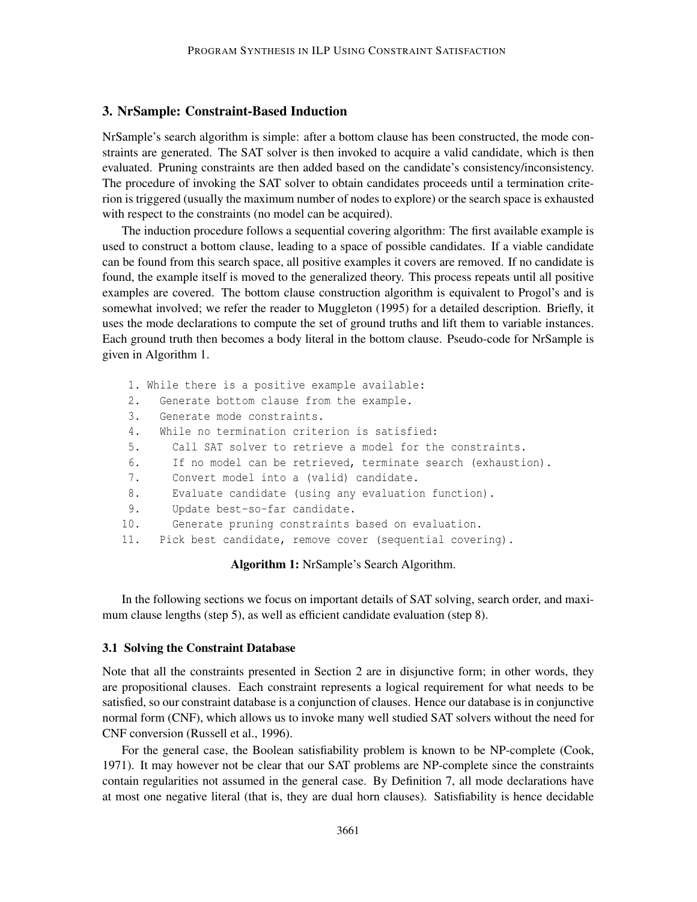## 3. NrSample: Constraint-Based Induction

NrSample's search algorithm is simple: after a bottom clause has been constructed, the mode constraints are generated. The SAT solver is then invoked to acquire a valid candidate, which is then evaluated. Pruning constraints are then added based on the candidate's consistency/inconsistency. The procedure of invoking the SAT solver to obtain candidates proceeds until a termination criterion is triggered (usually the maximum number of nodes to explore) or the search space is exhausted with respect to the constraints (no model can be acquired).

The induction procedure follows a sequential covering algorithm: The first available example is used to construct a bottom clause, leading to a space of possible candidates. If a viable candidate can be found from this search space, all positive examples it covers are removed. If no candidate is found, the example itself is moved to the generalized theory. This process repeats until all positive examples are covered. The bottom clause construction algorithm is equivalent to Progol's and is somewhat involved; we refer the reader to Muggleton (1995) for a detailed description. Briefly, it uses the mode declarations to compute the set of ground truths and lift them to variable instances. Each ground truth then becomes a body literal in the bottom clause. Pseudo-code for NrSample is given in Algorithm 1.

1. While there is a positive example available: 2. Generate bottom clause from the example. 3. Generate mode constraints. 4. While no termination criterion is satisfied: 5. Call SAT solver to retrieve a model for the constraints. 6. If no model can be retrieved, terminate search (exhaustion). 7. Convert model into a (valid) candidate. 8. Evaluate candidate (using any evaluation function). 9. Update best-so-far candidate. 10. Generate pruning constraints based on evaluation. 11. Pick best candidate, remove cover (sequential covering).

Algorithm 1: NrSample's Search Algorithm.

In the following sections we focus on important details of SAT solving, search order, and maximum clause lengths (step 5), as well as efficient candidate evaluation (step 8).

#### 3.1 Solving the Constraint Database

Note that all the constraints presented in Section 2 are in disjunctive form; in other words, they are propositional clauses. Each constraint represents a logical requirement for what needs to be satisfied, so our constraint database is a conjunction of clauses. Hence our database is in conjunctive normal form (CNF), which allows us to invoke many well studied SAT solvers without the need for CNF conversion (Russell et al., 1996).

For the general case, the Boolean satisfiability problem is known to be NP-complete (Cook, 1971). It may however not be clear that our SAT problems are NP-complete since the constraints contain regularities not assumed in the general case. By Definition 7, all mode declarations have at most one negative literal (that is, they are dual horn clauses). Satisfiability is hence decidable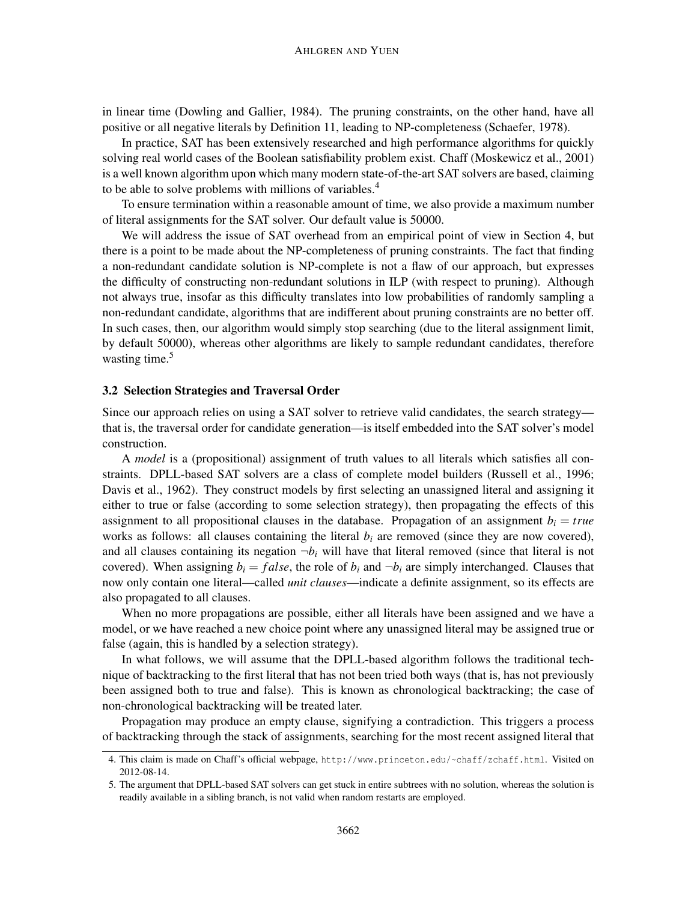in linear time (Dowling and Gallier, 1984). The pruning constraints, on the other hand, have all positive or all negative literals by Definition 11, leading to NP-completeness (Schaefer, 1978).

In practice, SAT has been extensively researched and high performance algorithms for quickly solving real world cases of the Boolean satisfiability problem exist. Chaff (Moskewicz et al., 2001) is a well known algorithm upon which many modern state-of-the-art SAT solvers are based, claiming to be able to solve problems with millions of variables.<sup>4</sup>

To ensure termination within a reasonable amount of time, we also provide a maximum number of literal assignments for the SAT solver. Our default value is 50000.

We will address the issue of SAT overhead from an empirical point of view in Section 4, but there is a point to be made about the NP-completeness of pruning constraints. The fact that finding a non-redundant candidate solution is NP-complete is not a flaw of our approach, but expresses the difficulty of constructing non-redundant solutions in ILP (with respect to pruning). Although not always true, insofar as this difficulty translates into low probabilities of randomly sampling a non-redundant candidate, algorithms that are indifferent about pruning constraints are no better off. In such cases, then, our algorithm would simply stop searching (due to the literal assignment limit, by default 50000), whereas other algorithms are likely to sample redundant candidates, therefore wasting time.<sup>5</sup>

#### 3.2 Selection Strategies and Traversal Order

Since our approach relies on using a SAT solver to retrieve valid candidates, the search strategy that is, the traversal order for candidate generation—is itself embedded into the SAT solver's model construction.

A *model* is a (propositional) assignment of truth values to all literals which satisfies all constraints. DPLL-based SAT solvers are a class of complete model builders (Russell et al., 1996; Davis et al., 1962). They construct models by first selecting an unassigned literal and assigning it either to true or false (according to some selection strategy), then propagating the effects of this assignment to all propositional clauses in the database. Propagation of an assignment  $b_i = true$ works as follows: all clauses containing the literal  $b_i$  are removed (since they are now covered), and all clauses containing its negation  $\neg b_i$  will have that literal removed (since that literal is not covered). When assigning  $b_i = false$ , the role of  $b_i$  and  $\neg b_i$  are simply interchanged. Clauses that now only contain one literal—called *unit clauses*—indicate a definite assignment, so its effects are also propagated to all clauses.

When no more propagations are possible, either all literals have been assigned and we have a model, or we have reached a new choice point where any unassigned literal may be assigned true or false (again, this is handled by a selection strategy).

In what follows, we will assume that the DPLL-based algorithm follows the traditional technique of backtracking to the first literal that has not been tried both ways (that is, has not previously been assigned both to true and false). This is known as chronological backtracking; the case of non-chronological backtracking will be treated later.

Propagation may produce an empty clause, signifying a contradiction. This triggers a process of backtracking through the stack of assignments, searching for the most recent assigned literal that

<sup>4.</sup> This claim is made on Chaff's official webpage, http://www.princeton.edu/~chaff/zchaff.html. Visited on 2012-08-14.

<sup>5.</sup> The argument that DPLL-based SAT solvers can get stuck in entire subtrees with no solution, whereas the solution is readily available in a sibling branch, is not valid when random restarts are employed.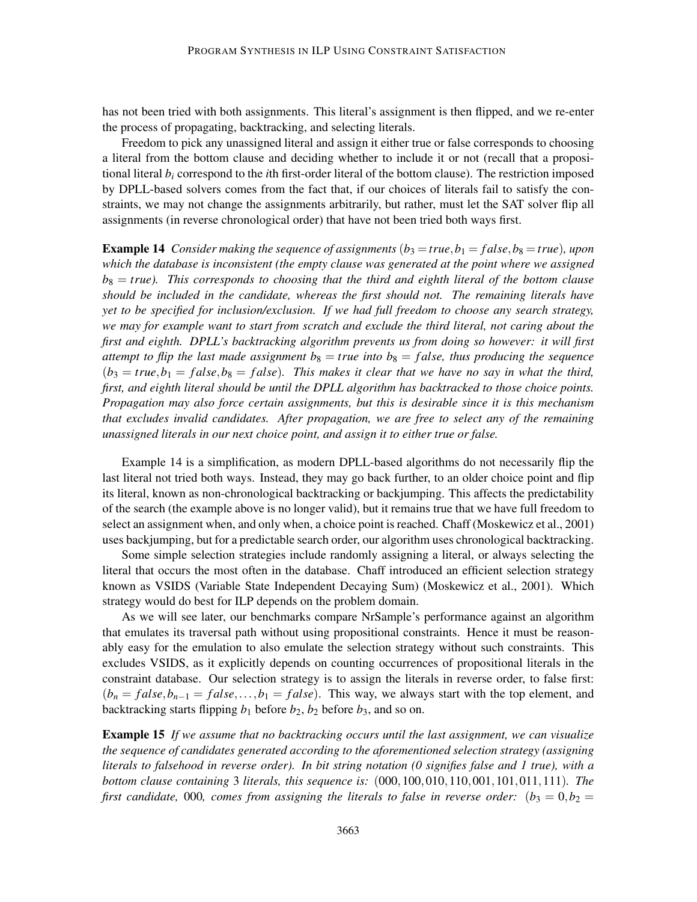has not been tried with both assignments. This literal's assignment is then flipped, and we re-enter the process of propagating, backtracking, and selecting literals.

Freedom to pick any unassigned literal and assign it either true or false corresponds to choosing a literal from the bottom clause and deciding whether to include it or not (recall that a propositional literal *b<sup>i</sup>* correspond to the *i*th first-order literal of the bottom clause). The restriction imposed by DPLL-based solvers comes from the fact that, if our choices of literals fail to satisfy the constraints, we may not change the assignments arbitrarily, but rather, must let the SAT solver flip all assignments (in reverse chronological order) that have not been tried both ways first.

**Example 14** *Consider making the sequence of assignments*  $(b_3 = true, b_1 = false, b_8 = true)$ *, upon which the database is inconsistent (the empty clause was generated at the point where we assigned b*<sup>8</sup> = *true). This corresponds to choosing that the third and eighth literal of the bottom clause should be included in the candidate, whereas the first should not. The remaining literals have yet to be specified for inclusion/exclusion. If we had full freedom to choose any search strategy, we may for example want to start from scratch and exclude the third literal, not caring about the first and eighth. DPLL's backtracking algorithm prevents us from doing so however: it will first attempt to flip the last made assignment*  $b_8$  = *true into*  $b_8$  = *false, thus producing the sequence*  $(b_3 = true, b_1 = false, b_8 = false)$ . This makes it clear that we have no say in what the third, *first, and eighth literal should be until the DPLL algorithm has backtracked to those choice points. Propagation may also force certain assignments, but this is desirable since it is this mechanism that excludes invalid candidates. After propagation, we are free to select any of the remaining unassigned literals in our next choice point, and assign it to either true or false.*

Example 14 is a simplification, as modern DPLL-based algorithms do not necessarily flip the last literal not tried both ways. Instead, they may go back further, to an older choice point and flip its literal, known as non-chronological backtracking or backjumping. This affects the predictability of the search (the example above is no longer valid), but it remains true that we have full freedom to select an assignment when, and only when, a choice point is reached. Chaff (Moskewicz et al., 2001) uses backjumping, but for a predictable search order, our algorithm uses chronological backtracking.

Some simple selection strategies include randomly assigning a literal, or always selecting the literal that occurs the most often in the database. Chaff introduced an efficient selection strategy known as VSIDS (Variable State Independent Decaying Sum) (Moskewicz et al., 2001). Which strategy would do best for ILP depends on the problem domain.

As we will see later, our benchmarks compare NrSample's performance against an algorithm that emulates its traversal path without using propositional constraints. Hence it must be reasonably easy for the emulation to also emulate the selection strategy without such constraints. This excludes VSIDS, as it explicitly depends on counting occurrences of propositional literals in the constraint database. Our selection strategy is to assign the literals in reverse order, to false first:  $(b_n = false, b_{n-1} = false, \ldots, b_1 = false)$ . This way, we always start with the top element, and backtracking starts flipping  $b_1$  before  $b_2$ ,  $b_2$  before  $b_3$ , and so on.

Example 15 *If we assume that no backtracking occurs until the last assignment, we can visualize the sequence of candidates generated according to the aforementioned selection strategy (assigning literals to falsehood in reverse order). In bit string notation (0 signifies false and 1 true), with a bottom clause containing* 3 *literals, this sequence is:* (000,100,010,110,001,101,011,111)*. The first candidate,* 000, *comes from assigning the literals to false in reverse order:*  $(b_3 = 0, b_2 = 1)$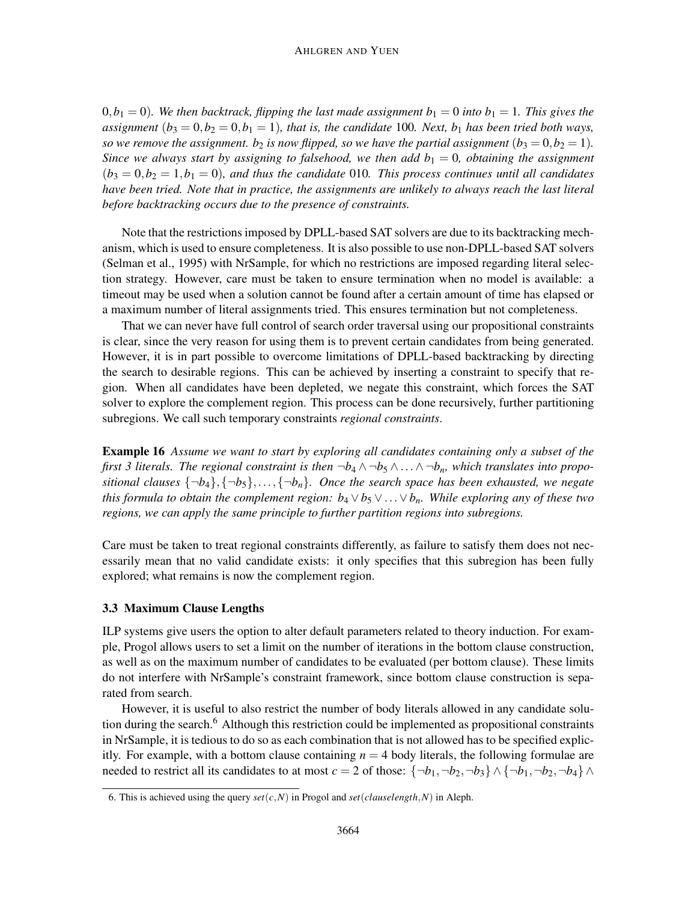$(0,b_1 = 0)$ . We then backtrack, flipping the last made assignment  $b_1 = 0$  into  $b_1 = 1$ . This gives the *assignment*  $(b_3 = 0, b_2 = 0, b_1 = 1)$ *, that is, the candidate* 100*. Next,*  $b_1$  *has been tried both ways, so we remove the assignment.*  $b_2$  *is now flipped, so we have the partial assignment*  $(b_3 = 0, b_2 = 1)$ *. Since we always start by assigning to falsehood, we then add*  $b_1 = 0$ *, obtaining the assignment*  $(b_3 = 0, b_2 = 1, b_1 = 0)$ *, and thus the candidate* 010*. This process continues until all candidates have been tried. Note that in practice, the assignments are unlikely to always reach the last literal before backtracking occurs due to the presence of constraints.*

Note that the restrictions imposed by DPLL-based SAT solvers are due to its backtracking mechanism, which is used to ensure completeness. It is also possible to use non-DPLL-based SAT solvers (Selman et al., 1995) with NrSample, for which no restrictions are imposed regarding literal selection strategy. However, care must be taken to ensure termination when no model is available: a timeout may be used when a solution cannot be found after a certain amount of time has elapsed or a maximum number of literal assignments tried. This ensures termination but not completeness.

That we can never have full control of search order traversal using our propositional constraints is clear, since the very reason for using them is to prevent certain candidates from being generated. However, it is in part possible to overcome limitations of DPLL-based backtracking by directing the search to desirable regions. This can be achieved by inserting a constraint to specify that region. When all candidates have been depleted, we negate this constraint, which forces the SAT solver to explore the complement region. This process can be done recursively, further partitioning subregions. We call such temporary constraints *regional constraints*.

Example 16 *Assume we want to start by exploring all candidates containing only a subset of the first 3 literals. The regional constraint is then*  $\neg b_4 \wedge \neg b_5 \wedge \dots \wedge \neg b_n$ *, which translates into propositional clauses*  $\{\neg b_4\}, \{\neg b_5\}, \ldots, \{\neg b_n\}$ . Once the search space has been exhausted, we negate *this formula to obtain the complement region: b*<sup>4</sup> ∨*b*<sup>5</sup> ∨...∨*bn. While exploring any of these two regions, we can apply the same principle to further partition regions into subregions.*

Care must be taken to treat regional constraints differently, as failure to satisfy them does not necessarily mean that no valid candidate exists: it only specifies that this subregion has been fully explored; what remains is now the complement region.

# 3.3 Maximum Clause Lengths

ILP systems give users the option to alter default parameters related to theory induction. For example, Progol allows users to set a limit on the number of iterations in the bottom clause construction, as well as on the maximum number of candidates to be evaluated (per bottom clause). These limits do not interfere with NrSample's constraint framework, since bottom clause construction is separated from search.

However, it is useful to also restrict the number of body literals allowed in any candidate solution during the search.<sup>6</sup> Although this restriction could be implemented as propositional constraints in NrSample, it is tedious to do so as each combination that is not allowed has to be specified explicitly. For example, with a bottom clause containing  $n = 4$  body literals, the following formulae are needed to restrict all its candidates to at most  $c = 2$  of those:  $\{\neg b_1, \neg b_2, \neg b_3\} \wedge \{\neg b_1, \neg b_2, \neg b_4\} \wedge$ 

<sup>6.</sup> This is achieved using the query  $set(c,N)$  in Progol and  $set(clauselength, N)$  in Aleph.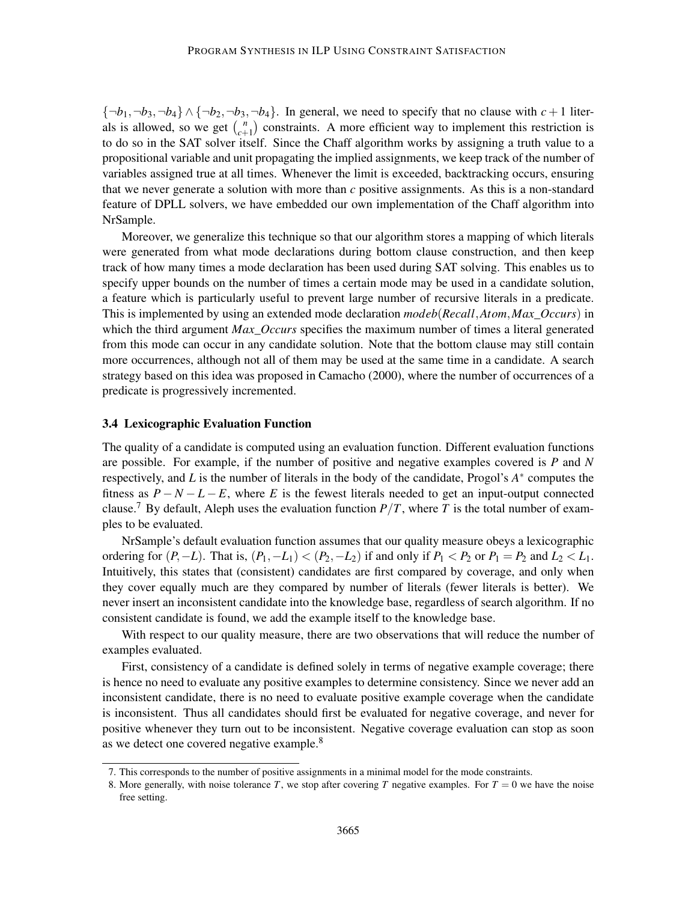${\lbrace \neg b_1, \neg b_3, \neg b_4 \rbrace} \wedge {\lbrace \neg b_2, \neg b_3, \neg b_4 \rbrace}$ . In general, we need to specify that no clause with  $c+1$  literals is allowed, so we get  $\binom{n}{r+1}$  $\binom{n}{c+1}$  constraints. A more efficient way to implement this restriction is to do so in the SAT solver itself. Since the Chaff algorithm works by assigning a truth value to a propositional variable and unit propagating the implied assignments, we keep track of the number of variables assigned true at all times. Whenever the limit is exceeded, backtracking occurs, ensuring that we never generate a solution with more than *c* positive assignments. As this is a non-standard feature of DPLL solvers, we have embedded our own implementation of the Chaff algorithm into NrSample.

Moreover, we generalize this technique so that our algorithm stores a mapping of which literals were generated from what mode declarations during bottom clause construction, and then keep track of how many times a mode declaration has been used during SAT solving. This enables us to specify upper bounds on the number of times a certain mode may be used in a candidate solution, a feature which is particularly useful to prevent large number of recursive literals in a predicate. This is implemented by using an extended mode declaration *modeb*(*Recall*,*Atom*,*Max*\_*Occurs*) in which the third argument *Max*\_*Occurs* specifies the maximum number of times a literal generated from this mode can occur in any candidate solution. Note that the bottom clause may still contain more occurrences, although not all of them may be used at the same time in a candidate. A search strategy based on this idea was proposed in Camacho (2000), where the number of occurrences of a predicate is progressively incremented.

#### 3.4 Lexicographic Evaluation Function

The quality of a candidate is computed using an evaluation function. Different evaluation functions are possible. For example, if the number of positive and negative examples covered is *P* and *N* respectively, and *L* is the number of literals in the body of the candidate, Progol's *A* ∗ computes the fitness as  $P - N - L - E$ , where *E* is the fewest literals needed to get an input-output connected clause.<sup>7</sup> By default, Aleph uses the evaluation function  $P/T$ , where *T* is the total number of examples to be evaluated.

NrSample's default evaluation function assumes that our quality measure obeys a lexicographic ordering for  $(P, -L)$ . That is,  $(P_1, -L_1) < (P_2, -L_2)$  if and only if  $P_1 < P_2$  or  $P_1 = P_2$  and  $L_2 < L_1$ . Intuitively, this states that (consistent) candidates are first compared by coverage, and only when they cover equally much are they compared by number of literals (fewer literals is better). We never insert an inconsistent candidate into the knowledge base, regardless of search algorithm. If no consistent candidate is found, we add the example itself to the knowledge base.

With respect to our quality measure, there are two observations that will reduce the number of examples evaluated.

First, consistency of a candidate is defined solely in terms of negative example coverage; there is hence no need to evaluate any positive examples to determine consistency. Since we never add an inconsistent candidate, there is no need to evaluate positive example coverage when the candidate is inconsistent. Thus all candidates should first be evaluated for negative coverage, and never for positive whenever they turn out to be inconsistent. Negative coverage evaluation can stop as soon as we detect one covered negative example.<sup>8</sup>

<sup>7.</sup> This corresponds to the number of positive assignments in a minimal model for the mode constraints.

<sup>8.</sup> More generally, with noise tolerance *T*, we stop after covering *T* negative examples. For  $T = 0$  we have the noise free setting.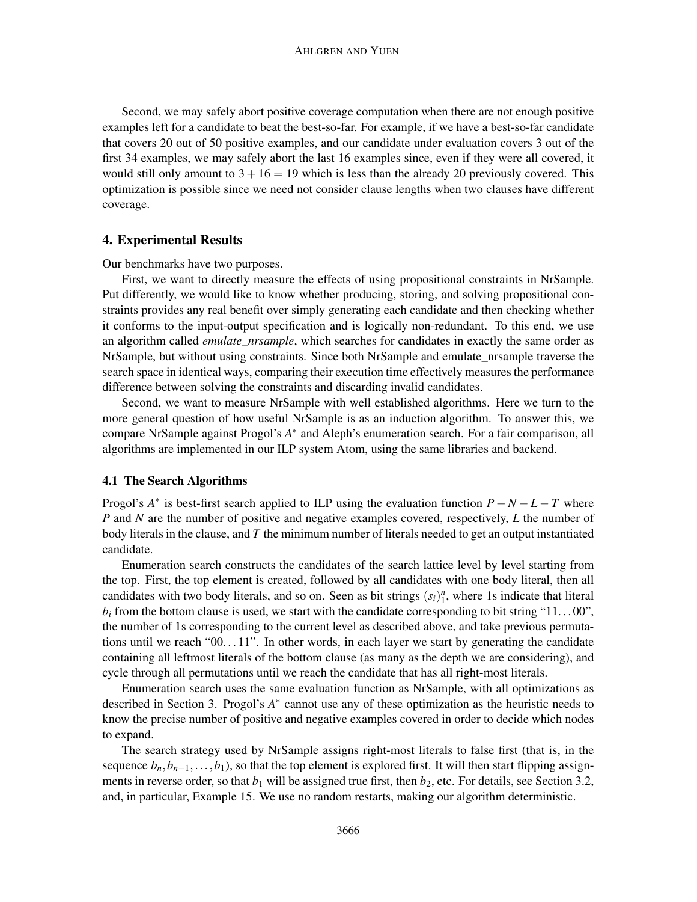Second, we may safely abort positive coverage computation when there are not enough positive examples left for a candidate to beat the best-so-far. For example, if we have a best-so-far candidate that covers 20 out of 50 positive examples, and our candidate under evaluation covers 3 out of the first 34 examples, we may safely abort the last 16 examples since, even if they were all covered, it would still only amount to  $3 + 16 = 19$  which is less than the already 20 previously covered. This optimization is possible since we need not consider clause lengths when two clauses have different coverage.

#### 4. Experimental Results

Our benchmarks have two purposes.

First, we want to directly measure the effects of using propositional constraints in NrSample. Put differently, we would like to know whether producing, storing, and solving propositional constraints provides any real benefit over simply generating each candidate and then checking whether it conforms to the input-output specification and is logically non-redundant. To this end, we use an algorithm called *emulate nrsample*, which searches for candidates in exactly the same order as NrSample, but without using constraints. Since both NrSample and emulate\_nrsample traverse the search space in identical ways, comparing their execution time effectively measures the performance difference between solving the constraints and discarding invalid candidates.

Second, we want to measure NrSample with well established algorithms. Here we turn to the more general question of how useful NrSample is as an induction algorithm. To answer this, we compare NrSample against Progol's *A* ∗ and Aleph's enumeration search. For a fair comparison, all algorithms are implemented in our ILP system Atom, using the same libraries and backend.

## 4.1 The Search Algorithms

Progol's  $A^*$  is best-first search applied to ILP using the evaluation function  $P - N - L - T$  where *P* and *N* are the number of positive and negative examples covered, respectively, *L* the number of body literals in the clause, and *T* the minimum number of literals needed to get an output instantiated candidate.

Enumeration search constructs the candidates of the search lattice level by level starting from the top. First, the top element is created, followed by all candidates with one body literal, then all candidates with two body literals, and so on. Seen as bit strings  $(s_i)_1^n$ , where 1s indicate that literal  $b_i$  from the bottom clause is used, we start with the candidate corresponding to bit string "11...00", the number of 1s corresponding to the current level as described above, and take previous permutations until we reach " $00...11$ ". In other words, in each layer we start by generating the candidate containing all leftmost literals of the bottom clause (as many as the depth we are considering), and cycle through all permutations until we reach the candidate that has all right-most literals.

Enumeration search uses the same evaluation function as NrSample, with all optimizations as described in Section 3. Progol's *A*<sup>∗</sup> cannot use any of these optimization as the heuristic needs to know the precise number of positive and negative examples covered in order to decide which nodes to expand.

The search strategy used by NrSample assigns right-most literals to false first (that is, in the sequence  $b_n, b_{n-1}, \ldots, b_1$ , so that the top element is explored first. It will then start flipping assignments in reverse order, so that  $b_1$  will be assigned true first, then  $b_2$ , etc. For details, see Section 3.2, and, in particular, Example 15. We use no random restarts, making our algorithm deterministic.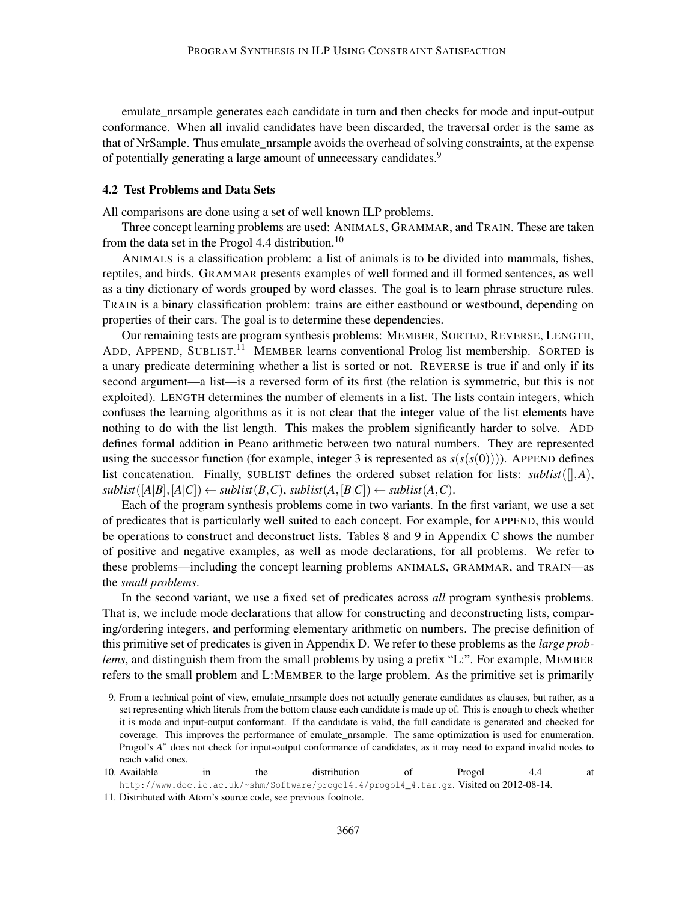emulate\_nrsample generates each candidate in turn and then checks for mode and input-output conformance. When all invalid candidates have been discarded, the traversal order is the same as that of NrSample. Thus emulate\_nrsample avoids the overhead of solving constraints, at the expense of potentially generating a large amount of unnecessary candidates.<sup>9</sup>

#### 4.2 Test Problems and Data Sets

All comparisons are done using a set of well known ILP problems.

Three concept learning problems are used: ANIMALS, GRAMMAR, and TRAIN. These are taken from the data set in the Progol 4.4 distribution.<sup>10</sup>

ANIMALS is a classification problem: a list of animals is to be divided into mammals, fishes, reptiles, and birds. GRAMMAR presents examples of well formed and ill formed sentences, as well as a tiny dictionary of words grouped by word classes. The goal is to learn phrase structure rules. TRAIN is a binary classification problem: trains are either eastbound or westbound, depending on properties of their cars. The goal is to determine these dependencies.

Our remaining tests are program synthesis problems: MEMBER, SORTED, REVERSE, LENGTH, ADD, APPEND, SUBLIST.<sup>11</sup> MEMBER learns conventional Prolog list membership. SORTED is a unary predicate determining whether a list is sorted or not. REVERSE is true if and only if its second argument—a list—is a reversed form of its first (the relation is symmetric, but this is not exploited). LENGTH determines the number of elements in a list. The lists contain integers, which confuses the learning algorithms as it is not clear that the integer value of the list elements have nothing to do with the list length. This makes the problem significantly harder to solve. ADD defines formal addition in Peano arithmetic between two natural numbers. They are represented using the successor function (for example, integer 3 is represented as  $s(s(s(0)))$ ). APPEND defines list concatenation. Finally, SUBLIST defines the ordered subset relation for lists:  $sublist([\,],A),$  $sublist([A|B], [A|C]) \leftarrow sublist(B, C), sublist(A, [B|C]) \leftarrow sublist(A, C).$ 

Each of the program synthesis problems come in two variants. In the first variant, we use a set of predicates that is particularly well suited to each concept. For example, for APPEND, this would be operations to construct and deconstruct lists. Tables 8 and 9 in Appendix C shows the number of positive and negative examples, as well as mode declarations, for all problems. We refer to these problems—including the concept learning problems ANIMALS, GRAMMAR, and TRAIN—as the *small problems*.

In the second variant, we use a fixed set of predicates across *all* program synthesis problems. That is, we include mode declarations that allow for constructing and deconstructing lists, comparing/ordering integers, and performing elementary arithmetic on numbers. The precise definition of this primitive set of predicates is given in Appendix D. We refer to these problems as the *large problems*, and distinguish them from the small problems by using a prefix "L:". For example, MEMBER refers to the small problem and L:MEMBER to the large problem. As the primitive set is primarily

<sup>9.</sup> From a technical point of view, emulate\_nrsample does not actually generate candidates as clauses, but rather, as a set representing which literals from the bottom clause each candidate is made up of. This is enough to check whether it is mode and input-output conformant. If the candidate is valid, the full candidate is generated and checked for coverage. This improves the performance of emulate\_nrsample. The same optimization is used for enumeration. Progol's  $A^*$  does not check for input-output conformance of candidates, as it may need to expand invalid nodes to reach valid ones.

<sup>10.</sup> Available in the distribution of Progol 4.4 at http://www.doc.ic.ac.uk/~shm/Software/progol4.4/progol4\_4.tar.gz. Visited on 2012-08-14.

<sup>11.</sup> Distributed with Atom's source code, see previous footnote.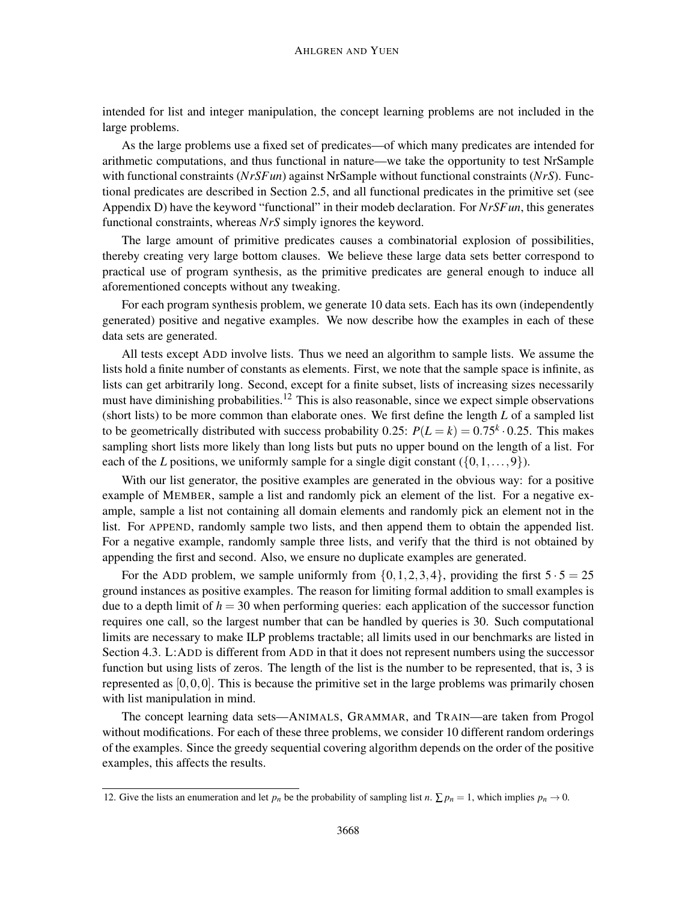intended for list and integer manipulation, the concept learning problems are not included in the large problems.

As the large problems use a fixed set of predicates—of which many predicates are intended for arithmetic computations, and thus functional in nature—we take the opportunity to test NrSample with functional constraints (*NrSFun*) against NrSample without functional constraints (*NrS*). Functional predicates are described in Section 2.5, and all functional predicates in the primitive set (see Appendix D) have the keyword "functional" in their modeb declaration. For *NrSFun*, this generates functional constraints, whereas *NrS* simply ignores the keyword.

The large amount of primitive predicates causes a combinatorial explosion of possibilities, thereby creating very large bottom clauses. We believe these large data sets better correspond to practical use of program synthesis, as the primitive predicates are general enough to induce all aforementioned concepts without any tweaking.

For each program synthesis problem, we generate 10 data sets. Each has its own (independently generated) positive and negative examples. We now describe how the examples in each of these data sets are generated.

All tests except ADD involve lists. Thus we need an algorithm to sample lists. We assume the lists hold a finite number of constants as elements. First, we note that the sample space is infinite, as lists can get arbitrarily long. Second, except for a finite subset, lists of increasing sizes necessarily must have diminishing probabilities.<sup>12</sup> This is also reasonable, since we expect simple observations (short lists) to be more common than elaborate ones. We first define the length *L* of a sampled list to be geometrically distributed with success probability 0.25:  $P(L = k) = 0.75^k \cdot 0.25$ . This makes sampling short lists more likely than long lists but puts no upper bound on the length of a list. For each of the *L* positions, we uniformly sample for a single digit constant  $({0,1,...,9})$ .

With our list generator, the positive examples are generated in the obvious way: for a positive example of MEMBER, sample a list and randomly pick an element of the list. For a negative example, sample a list not containing all domain elements and randomly pick an element not in the list. For APPEND, randomly sample two lists, and then append them to obtain the appended list. For a negative example, randomly sample three lists, and verify that the third is not obtained by appending the first and second. Also, we ensure no duplicate examples are generated.

For the ADD problem, we sample uniformly from  $\{0, 1, 2, 3, 4\}$ , providing the first  $5 \cdot 5 = 25$ ground instances as positive examples. The reason for limiting formal addition to small examples is due to a depth limit of  $h = 30$  when performing queries: each application of the successor function requires one call, so the largest number that can be handled by queries is 30. Such computational limits are necessary to make ILP problems tractable; all limits used in our benchmarks are listed in Section 4.3. L:ADD is different from ADD in that it does not represent numbers using the successor function but using lists of zeros. The length of the list is the number to be represented, that is, 3 is represented as  $[0,0,0]$ . This is because the primitive set in the large problems was primarily chosen with list manipulation in mind.

The concept learning data sets—ANIMALS, GRAMMAR, and TRAIN—are taken from Progol without modifications. For each of these three problems, we consider 10 different random orderings of the examples. Since the greedy sequential covering algorithm depends on the order of the positive examples, this affects the results.

<sup>12.</sup> Give the lists an enumeration and let  $p_n$  be the probability of sampling list *n*.  $\sum p_n = 1$ , which implies  $p_n \to 0$ .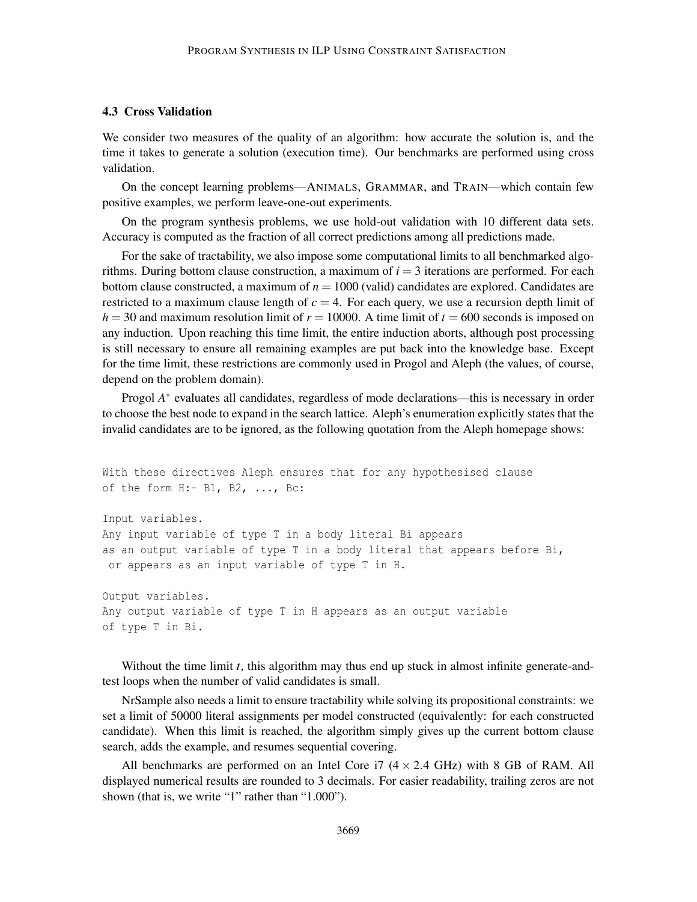# 4.3 Cross Validation

of type T in Bi.

We consider two measures of the quality of an algorithm: how accurate the solution is, and the time it takes to generate a solution (execution time). Our benchmarks are performed using cross validation.

On the concept learning problems—ANIMALS, GRAMMAR, and TRAIN—which contain few positive examples, we perform leave-one-out experiments.

On the program synthesis problems, we use hold-out validation with 10 different data sets. Accuracy is computed as the fraction of all correct predictions among all predictions made.

For the sake of tractability, we also impose some computational limits to all benchmarked algorithms. During bottom clause construction, a maximum of  $i = 3$  iterations are performed. For each bottom clause constructed, a maximum of  $n = 1000$  (valid) candidates are explored. Candidates are restricted to a maximum clause length of  $c = 4$ . For each query, we use a recursion depth limit of  $h = 30$  and maximum resolution limit of  $r = 10000$ . A time limit of  $t = 600$  seconds is imposed on any induction. Upon reaching this time limit, the entire induction aborts, although post processing is still necessary to ensure all remaining examples are put back into the knowledge base. Except for the time limit, these restrictions are commonly used in Progol and Aleph (the values, of course, depend on the problem domain).

Progol A<sup>\*</sup> evaluates all candidates, regardless of mode declarations—this is necessary in order to choose the best node to expand in the search lattice. Aleph's enumeration explicitly states that the invalid candidates are to be ignored, as the following quotation from the Aleph homepage shows:

```
With these directives Aleph ensures that for any hypothesised clause
of the form H:- B1, B2, ..., Bc:
Input variables.
Any input variable of type T in a body literal Bi appears
as an output variable of type T in a body literal that appears before Bi,
or appears as an input variable of type T in H.
Output variables.
Any output variable of type T in H appears as an output variable
```
Without the time limit *t*, this algorithm may thus end up stuck in almost infinite generate-andtest loops when the number of valid candidates is small.

NrSample also needs a limit to ensure tractability while solving its propositional constraints: we set a limit of 50000 literal assignments per model constructed (equivalently: for each constructed candidate). When this limit is reached, the algorithm simply gives up the current bottom clause search, adds the example, and resumes sequential covering.

All benchmarks are performed on an Intel Core i7  $(4 \times 2.4 \text{ GHz})$  with 8 GB of RAM. All displayed numerical results are rounded to 3 decimals. For easier readability, trailing zeros are not shown (that is, we write "1" rather than "1.000").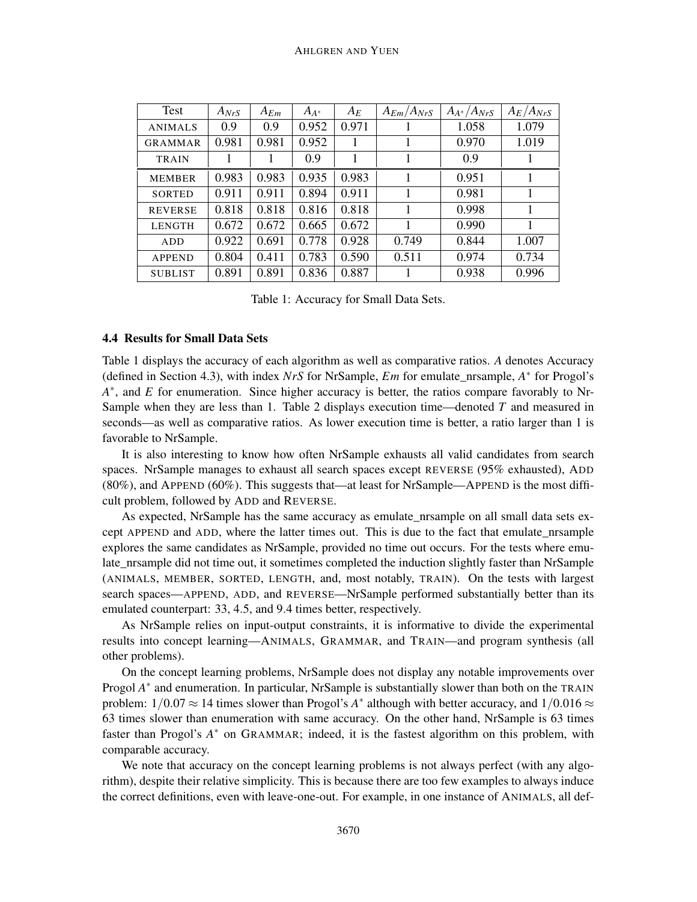| Test           | $A_{NrS}$ | $A_{Em}$ | $A_{A^*}$ | $A_E$ | $A_{Em}/A_{NrS}$ | $A_{A^*}/A_{NrS}$ | $A_E/A_{NrS}$ |
|----------------|-----------|----------|-----------|-------|------------------|-------------------|---------------|
| <b>ANIMALS</b> | 0.9       | 0.9      | 0.952     | 0.971 |                  | 1.058             | 1.079         |
| <b>GRAMMAR</b> | 0.981     | 0.981    | 0.952     |       |                  | 0.970             | 1.019         |
| <b>TRAIN</b>   |           |          | 0.9       |       |                  | 0.9               |               |
| <b>MEMBER</b>  | 0.983     | 0.983    | 0.935     | 0.983 |                  | 0.951             | 1             |
| <b>SORTED</b>  | 0.911     | 0.911    | 0.894     | 0.911 |                  | 0.981             | 1             |
| <b>REVERSE</b> | 0.818     | 0.818    | 0.816     | 0.818 |                  | 0.998             | 1             |
| <b>LENGTH</b>  | 0.672     | 0.672    | 0.665     | 0.672 |                  | 0.990             | 1             |
| <b>ADD</b>     | 0.922     | 0.691    | 0.778     | 0.928 | 0.749            | 0.844             | 1.007         |
| <b>APPEND</b>  | 0.804     | 0.411    | 0.783     | 0.590 | 0.511            | 0.974             | 0.734         |
| <b>SUBLIST</b> | 0.891     | 0.891    | 0.836     | 0.887 |                  | 0.938             | 0.996         |

Table 1: Accuracy for Small Data Sets.

## 4.4 Results for Small Data Sets

Table 1 displays the accuracy of each algorithm as well as comparative ratios. *A* denotes Accuracy (defined in Section 4.3), with index *NrS* for NrSample, *Em* for emulate\_nrsample, *A* ∗ for Progol's *A*<sup>\*</sup>, and *E* for enumeration. Since higher accuracy is better, the ratios compare favorably to Nr-Sample when they are less than 1. Table 2 displays execution time—denoted *T* and measured in seconds—as well as comparative ratios. As lower execution time is better, a ratio larger than 1 is favorable to NrSample.

It is also interesting to know how often NrSample exhausts all valid candidates from search spaces. NrSample manages to exhaust all search spaces except REVERSE (95% exhausted), ADD (80%), and APPEND (60%). This suggests that—at least for NrSample—APPEND is the most difficult problem, followed by ADD and REVERSE.

As expected, NrSample has the same accuracy as emulate\_nrsample on all small data sets except APPEND and ADD, where the latter times out. This is due to the fact that emulate\_nrsample explores the same candidates as NrSample, provided no time out occurs. For the tests where emulate\_nrsample did not time out, it sometimes completed the induction slightly faster than NrSample (ANIMALS, MEMBER, SORTED, LENGTH, and, most notably, TRAIN). On the tests with largest search spaces—APPEND, ADD, and REVERSE—NrSample performed substantially better than its emulated counterpart: 33, 4.5, and 9.4 times better, respectively.

As NrSample relies on input-output constraints, it is informative to divide the experimental results into concept learning—ANIMALS, GRAMMAR, and TRAIN—and program synthesis (all other problems).

On the concept learning problems, NrSample does not display any notable improvements over Progol A<sup>\*</sup> and enumeration. In particular, NrSample is substantially slower than both on the TRAIN problem:  $1/0.07 \approx 14$  times slower than Progol's  $A^*$  although with better accuracy, and  $1/0.016 \approx$ 63 times slower than enumeration with same accuracy. On the other hand, NrSample is 63 times faster than Progol's A<sup>\*</sup> on GRAMMAR; indeed, it is the fastest algorithm on this problem, with comparable accuracy.

We note that accuracy on the concept learning problems is not always perfect (with any algorithm), despite their relative simplicity. This is because there are too few examples to always induce the correct definitions, even with leave-one-out. For example, in one instance of ANIMALS, all def-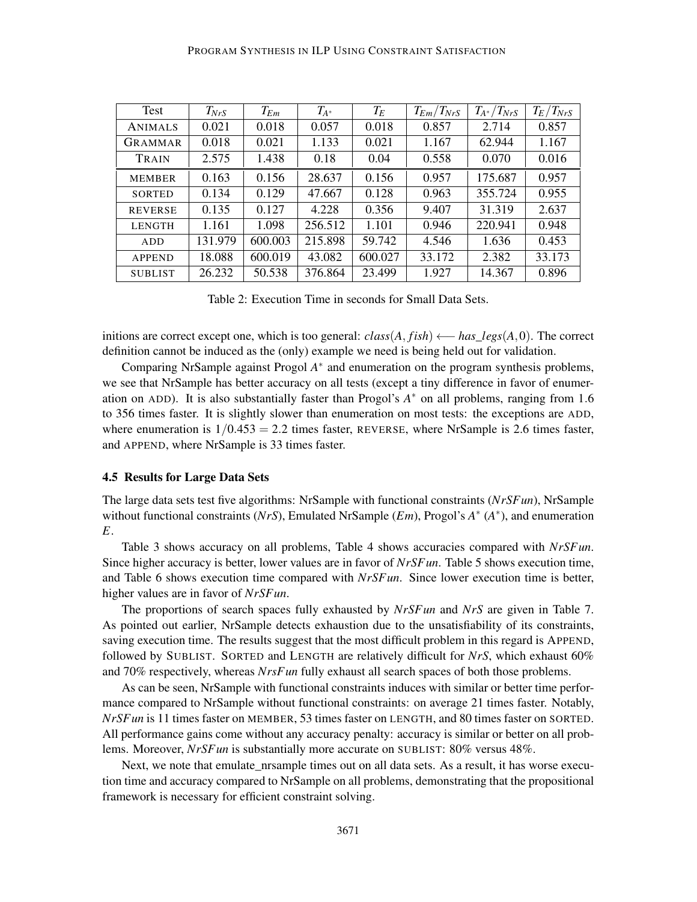| Test           | $T_{NrS}$ | $T_{Em}$ | $T_{A^*}$ | $T_E$   | $T_{Em}/T_{NrS}$ | $T_{A^*}/T_{NrS}$ | $T_E/T_{NrS}$ |
|----------------|-----------|----------|-----------|---------|------------------|-------------------|---------------|
| <b>ANIMALS</b> | 0.021     | 0.018    | 0.057     | 0.018   | 0.857            | 2.714             | 0.857         |
| GRAMMAR        | 0.018     | 0.021    | 1.133     | 0.021   | 1.167            | 62.944            | 1.167         |
| TRAIN          | 2.575     | 1.438    | 0.18      | 0.04    | 0.558            | 0.070             | 0.016         |
| <b>MEMBER</b>  | 0.163     | 0.156    | 28.637    | 0.156   | 0.957            | 175.687           | 0.957         |
| <b>SORTED</b>  | 0.134     | 0.129    | 47.667    | 0.128   | 0.963            | 355.724           | 0.955         |
| <b>REVERSE</b> | 0.135     | 0.127    | 4.228     | 0.356   | 9.407            | 31.319            | 2.637         |
| <b>LENGTH</b>  | 1.161     | 1.098    | 256.512   | 1.101   | 0.946            | 220.941           | 0.948         |
| ADD            | 131.979   | 600.003  | 215.898   | 59.742  | 4.546            | 1.636             | 0.453         |
| <b>APPEND</b>  | 18.088    | 600.019  | 43.082    | 600.027 | 33.172           | 2.382             | 33.173        |
| <b>SUBLIST</b> | 26.232    | 50.538   | 376.864   | 23.499  | 1.927            | 14.367            | 0.896         |

Table 2: Execution Time in seconds for Small Data Sets.

initions are correct except one, which is too general: *class*(*A*, *fish*) ←− *has*\_*legs*(*A*,0). The correct definition cannot be induced as the (only) example we need is being held out for validation.

Comparing NrSample against Progol *A* ∗ and enumeration on the program synthesis problems, we see that NrSample has better accuracy on all tests (except a tiny difference in favor of enumeration on ADD). It is also substantially faster than Progol's *A* <sup>∗</sup> on all problems, ranging from 1.6 to 356 times faster. It is slightly slower than enumeration on most tests: the exceptions are ADD, where enumeration is  $1/0.453 = 2.2$  times faster, REVERSE, where NrSample is 2.6 times faster, and APPEND, where NrSample is 33 times faster.

#### 4.5 Results for Large Data Sets

The large data sets test five algorithms: NrSample with functional constraints (*NrSFun*), NrSample without functional constraints (*NrS*), Emulated NrSample (*Em*), Progol's  $A^*$  ( $A^*$ ), and enumeration *E*.

Table 3 shows accuracy on all problems, Table 4 shows accuracies compared with *NrSFun*. Since higher accuracy is better, lower values are in favor of *NrSFun*. Table 5 shows execution time, and Table 6 shows execution time compared with *NrSFun*. Since lower execution time is better, higher values are in favor of *NrSFun*.

The proportions of search spaces fully exhausted by *NrSFun* and *NrS* are given in Table 7. As pointed out earlier, NrSample detects exhaustion due to the unsatisfiability of its constraints, saving execution time. The results suggest that the most difficult problem in this regard is APPEND, followed by SUBLIST. SORTED and LENGTH are relatively difficult for *NrS*, which exhaust 60% and 70% respectively, whereas *NrsFun* fully exhaust all search spaces of both those problems.

As can be seen, NrSample with functional constraints induces with similar or better time performance compared to NrSample without functional constraints: on average 21 times faster. Notably, *NrSFun* is 11 times faster on MEMBER, 53 times faster on LENGTH, and 80 times faster on SORTED. All performance gains come without any accuracy penalty: accuracy is similar or better on all problems. Moreover, *NrSFun* is substantially more accurate on SUBLIST: 80% versus 48%.

Next, we note that emulate nrsample times out on all data sets. As a result, it has worse execution time and accuracy compared to NrSample on all problems, demonstrating that the propositional framework is necessary for efficient constraint solving.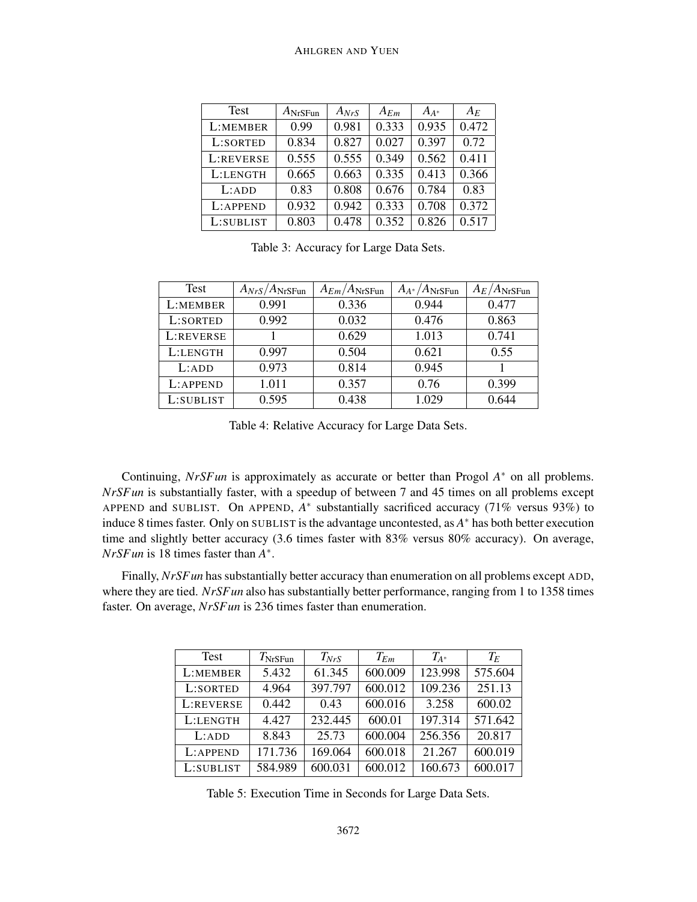#### AHLGREN AND YUEN

| <b>Test</b> | $A_{\rm NrSFun}$ | $A_{NrS}$ | $A_{Em}$ | $A_{A*}$ | $A_E$ |
|-------------|------------------|-----------|----------|----------|-------|
| L:MEMBER    | 0.99             | 0.981     | 0.333    | 0.935    | 0.472 |
| L:SORTED    | 0.834            | 0.827     | 0.027    | 0.397    | 0.72  |
| L:REVERSE   | 0.555            | 0.555     | 0.349    | 0.562    | 0.411 |
| L:LENGTH    | 0.665            | 0.663     | 0.335    | 0.413    | 0.366 |
| L:ADD       | 0.83             | 0.808     | 0.676    | 0.784    | 0.83  |
| L:APPEND    | 0.932            | 0.942     | 0.333    | 0.708    | 0.372 |
| L:SUBLIST   | 0.803            | 0.478     | 0.352    | 0.826    | 0.517 |

Table 3: Accuracy for Large Data Sets.

| Test      | $A_{NrS}/A_{\text{NrSFun}}$ | $A_{Em}/A_{NrSFun}$ | $A_{A^*}/A_{\text{NrSFun}}$ | $A_E/A_{\text{NrSFun}}$ |
|-----------|-----------------------------|---------------------|-----------------------------|-------------------------|
| L:MEMBER  | 0.991                       | 0.336               | 0.944                       | 0.477                   |
| L:SORTED  | 0.992                       | 0.032               | 0.476                       | 0.863                   |
| L:REVERSE |                             | 0.629               | 1.013                       | 0.741                   |
| L:LENGTH  | 0.997                       | 0.504               | 0.621                       | 0.55                    |
| L:ADD     | 0.973                       | 0.814               | 0.945                       |                         |
| L:APPEND  | 1.011                       | 0.357               | 0.76                        | 0.399                   |
| L:SUBLIST | 0.595                       | 0.438               | 1.029                       | 0.644                   |

Table 4: Relative Accuracy for Large Data Sets.

Continuing, *NrSFun* is approximately as accurate or better than Progol *A* <sup>∗</sup> on all problems. *NrSFun* is substantially faster, with a speedup of between 7 and 45 times on all problems except APPEND and SUBLIST. On APPEND,  $A^*$  substantially sacrificed accuracy (71% versus 93%) to induce 8 times faster. Only on SUBLIST is the advantage uncontested, as *A* <sup>∗</sup> has both better execution time and slightly better accuracy (3.6 times faster with 83% versus 80% accuracy). On average, *NrSFun* is 18 times faster than *A* ∗ .

Finally, *NrSF un* has substantially better accuracy than enumeration on all problems except ADD, where they are tied. *NrSFun* also has substantially better performance, ranging from 1 to 1358 times faster. On average, *NrSFun* is 236 times faster than enumeration.

| <b>Test</b> | $T_{\text{NrS}\text{Fun}}$ | $T_{NrS}$ | $T_{Em}$ | $T_{A^*}$ | $T_E$   |
|-------------|----------------------------|-----------|----------|-----------|---------|
| L:MEMBER    | 5.432                      | 61.345    | 600.009  | 123.998   | 575.604 |
| L:SORTED    | 4.964                      | 397.797   | 600.012  | 109.236   | 251.13  |
| L:REVERSE   | 0.442                      | 0.43      | 600.016  | 3.258     | 600.02  |
| L:LENGTH    | 4.427                      | 232.445   | 600.01   | 197.314   | 571.642 |
| L:ADD       | 8.843                      | 25.73     | 600.004  | 256.356   | 20.817  |
| L:APPEND    | 171.736                    | 169.064   | 600.018  | 21.267    | 600.019 |
| L:SUBLIST   | 584.989                    | 600.031   | 600.012  | 160.673   | 600.017 |

Table 5: Execution Time in Seconds for Large Data Sets.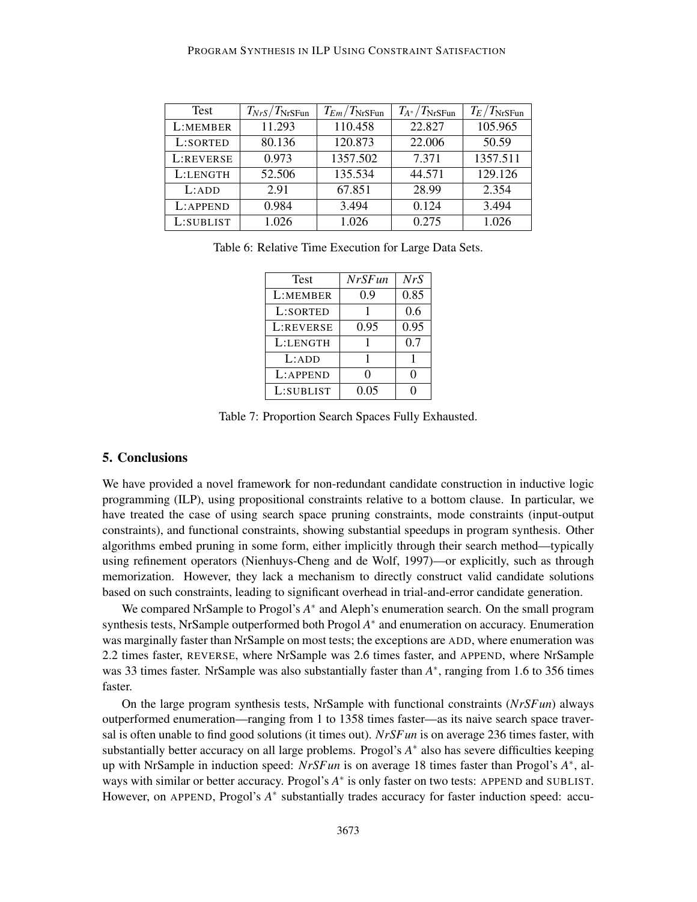#### PROGRAM SYNTHESIS IN ILP USING CONSTRAINT SATISFACTION

| Test      | $T_{NrS}/T_{\text{NrSFun}}$ | $T_{Em}/T_{NrSFun}$ | $T_{A^*}/T_{\rm NrSFun}$ | $T_E/T_{\text{NrS}\text{Fun}}$ |
|-----------|-----------------------------|---------------------|--------------------------|--------------------------------|
| L:MEMBER  | 11.293                      | 110.458             | 22.827                   | 105.965                        |
| L:SORTED  | 80.136                      | 120.873             | 22.006                   | 50.59                          |
| L:REVERSE | 0.973                       | 1357.502            | 7.371                    | 1357.511                       |
| L:LENGTH  | 52.506                      | 135.534             | 44.571                   | 129.126                        |
| L:ADD     | 2.91                        | 67.851              | 28.99                    | 2.354                          |
| L:APPEND  | 0.984                       | 3.494               | 0.124                    | 3.494                          |
| L:SUBLIST | 1.026                       | 1.026               | 0.275                    | 1.026                          |

Table 6: Relative Time Execution for Large Data Sets.

| <b>Test</b> | <b>NrSFun</b> | NrS  |
|-------------|---------------|------|
| L:MEMBER    | 0.9           | 0.85 |
| L:SORTED    |               | 0.6  |
| L:REVERSE   | 0.95          | 0.95 |
| L:LENGTH    |               | 0.7  |
| L:ADD       |               |      |
| L:APPEND    | ∩             |      |
| L:SUBLIST   | 0.05          |      |

Table 7: Proportion Search Spaces Fully Exhausted.

# 5. Conclusions

We have provided a novel framework for non-redundant candidate construction in inductive logic programming (ILP), using propositional constraints relative to a bottom clause. In particular, we have treated the case of using search space pruning constraints, mode constraints (input-output constraints), and functional constraints, showing substantial speedups in program synthesis. Other algorithms embed pruning in some form, either implicitly through their search method—typically using refinement operators (Nienhuys-Cheng and de Wolf, 1997)—or explicitly, such as through memorization. However, they lack a mechanism to directly construct valid candidate solutions based on such constraints, leading to significant overhead in trial-and-error candidate generation.

We compared NrSample to Progol's A<sup>\*</sup> and Aleph's enumeration search. On the small program synthesis tests, NrSample outperformed both Progol A<sup>\*</sup> and enumeration on accuracy. Enumeration was marginally faster than NrSample on most tests; the exceptions are ADD, where enumeration was 2.2 times faster, REVERSE, where NrSample was 2.6 times faster, and APPEND, where NrSample was 33 times faster. NrSample was also substantially faster than  $A^*$ , ranging from 1.6 to 356 times faster.

On the large program synthesis tests, NrSample with functional constraints (*NrSFun*) always outperformed enumeration—ranging from 1 to 1358 times faster—as its naive search space traversal is often unable to find good solutions (it times out). *NrSFun* is on average 236 times faster, with substantially better accuracy on all large problems. Progol's *A*<sup>∗</sup> also has severe difficulties keeping up with NrSample in induction speed: *NrSFun* is on average 18 times faster than Progol's *A* ∗ , always with similar or better accuracy. Progol's  $A^*$  is only faster on two tests: APPEND and SUBLIST. However, on APPEND, Progol's A<sup>\*</sup> substantially trades accuracy for faster induction speed: accu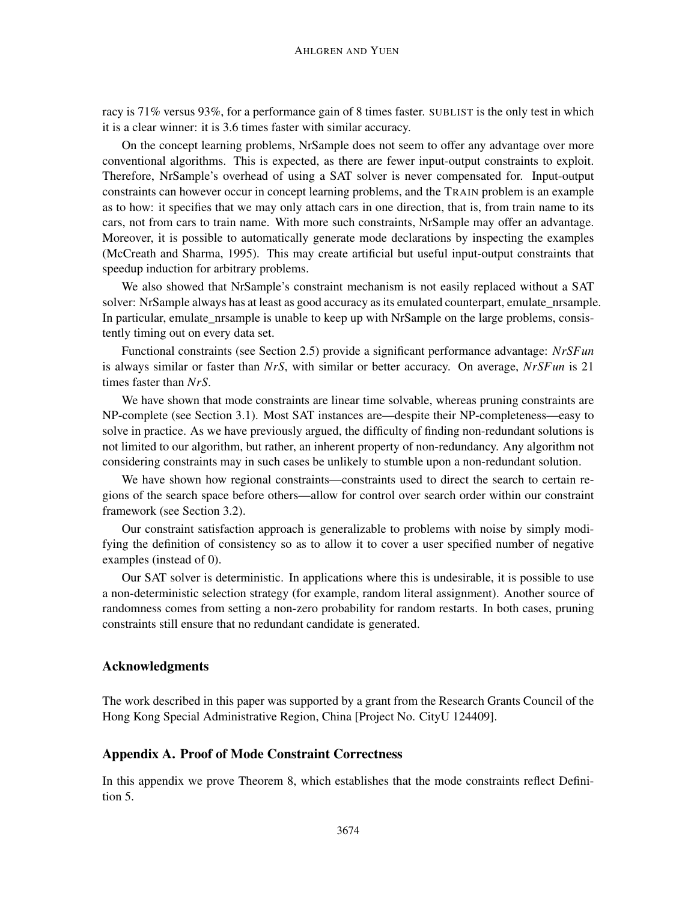racy is 71% versus 93%, for a performance gain of 8 times faster. SUBLIST is the only test in which it is a clear winner: it is 3.6 times faster with similar accuracy.

On the concept learning problems, NrSample does not seem to offer any advantage over more conventional algorithms. This is expected, as there are fewer input-output constraints to exploit. Therefore, NrSample's overhead of using a SAT solver is never compensated for. Input-output constraints can however occur in concept learning problems, and the TRAIN problem is an example as to how: it specifies that we may only attach cars in one direction, that is, from train name to its cars, not from cars to train name. With more such constraints, NrSample may offer an advantage. Moreover, it is possible to automatically generate mode declarations by inspecting the examples (McCreath and Sharma, 1995). This may create artificial but useful input-output constraints that speedup induction for arbitrary problems.

We also showed that NrSample's constraint mechanism is not easily replaced without a SAT solver: NrSample always has at least as good accuracy as its emulated counterpart, emulate\_nrsample. In particular, emulate\_nrsample is unable to keep up with NrSample on the large problems, consistently timing out on every data set.

Functional constraints (see Section 2.5) provide a significant performance advantage: *NrSFun* is always similar or faster than *NrS*, with similar or better accuracy. On average, *NrSFun* is 21 times faster than *NrS*.

We have shown that mode constraints are linear time solvable, whereas pruning constraints are NP-complete (see Section 3.1). Most SAT instances are—despite their NP-completeness—easy to solve in practice. As we have previously argued, the difficulty of finding non-redundant solutions is not limited to our algorithm, but rather, an inherent property of non-redundancy. Any algorithm not considering constraints may in such cases be unlikely to stumble upon a non-redundant solution.

We have shown how regional constraints—constraints used to direct the search to certain regions of the search space before others—allow for control over search order within our constraint framework (see Section 3.2).

Our constraint satisfaction approach is generalizable to problems with noise by simply modifying the definition of consistency so as to allow it to cover a user specified number of negative examples (instead of 0).

Our SAT solver is deterministic. In applications where this is undesirable, it is possible to use a non-deterministic selection strategy (for example, random literal assignment). Another source of randomness comes from setting a non-zero probability for random restarts. In both cases, pruning constraints still ensure that no redundant candidate is generated.

# Acknowledgments

The work described in this paper was supported by a grant from the Research Grants Council of the Hong Kong Special Administrative Region, China [Project No. CityU 124409].

## Appendix A. Proof of Mode Constraint Correctness

In this appendix we prove Theorem 8, which establishes that the mode constraints reflect Definition 5.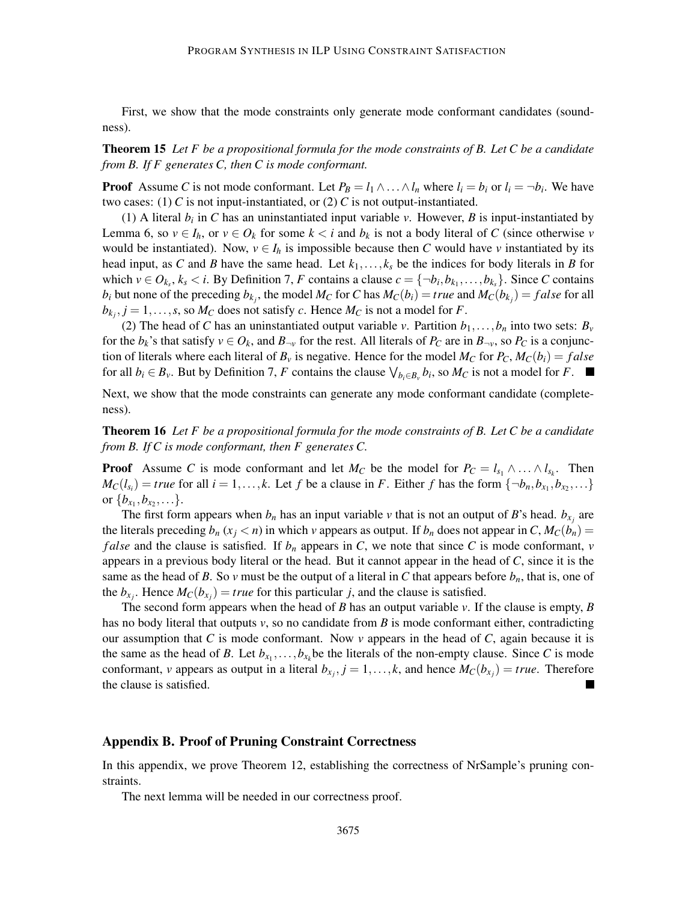First, we show that the mode constraints only generate mode conformant candidates (soundness).

# Theorem 15 *Let F be a propositional formula for the mode constraints of B. Let C be a candidate from B. If F generates C, then C is mode conformant.*

**Proof** Assume *C* is not mode conformant. Let  $P_B = l_1 \wedge \ldots \wedge l_n$  where  $l_i = b_i$  or  $l_i = \neg b_i$ . We have two cases: (1) C is not input-instantiated, or  $(2)$  C is not output-instantiated.

(1) A literal  $b_i$  in C has an uninstantiated input variable  $v$ . However,  $B$  is input-instantiated by Lemma 6, so  $v \in I_h$ , or  $v \in O_k$  for some  $k < i$  and  $b_k$  is not a body literal of C (since otherwise *v* would be instantiated). Now,  $v \in I_h$  is impossible because then *C* would have *v* instantiated by its head input, as C and *B* have the same head. Let  $k_1, \ldots, k_s$  be the indices for body literals in *B* for which  $v \in O_{k_s}$ ,  $k_s < i$ . By Definition 7, *F* contains a clause  $c = \{\neg b_i, b_{k_1}, \dots, b_{k_s}\}$ . Since *C* contains  $b_i$  but none of the preceding  $b_{k_j}$ , the model  $M_C$  for C has  $M_C(b_i) = true$  and  $M_C(b_{k_j}) = false$  for all  $b_{k_j}, j = 1, \ldots, s$ , so  $M_C$  does not satisfy *c*. Hence  $M_C$  is not a model for *F*.

(2) The head of *C* has an uninstantiated output variable *v*. Partition  $b_1, \ldots, b_n$  into two sets:  $B_v$ for the  $b_k$ 's that satisfy  $v \in O_k$ , and  $B_{\neg v}$  for the rest. All literals of  $P_C$  are in  $B_{\neg v}$ , so  $P_C$  is a conjunction of literals where each literal of  $B_v$  is negative. Hence for the model  $M_C$  for  $P_C$ ,  $M_C(b_i) = false$ for all  $b_i \in B_\nu$ . But by Definition 7, *F* contains the clause  $\bigvee_{b_i \in B_\nu} b_i$ , so  $M_C$  is not a model for *F*.

Next, we show that the mode constraints can generate any mode conformant candidate (completeness).

Theorem 16 *Let F be a propositional formula for the mode constraints of B. Let C be a candidate from B. If C is mode conformant, then F generates C.*

**Proof** Assume *C* is mode conformant and let *M<sub>C</sub>* be the model for  $P_C = l_{s_1} \wedge \ldots \wedge l_{s_k}$ . Then  $M_C(l_{s_i}) = true$  for all  $i = 1, ..., k$ . Let *f* be a clause in *F*. Either *f* has the form  $\{\neg b_n, b_{x_1}, b_{x_2}, ...\}$ or  $\{b_{x_1}, b_{x_2}, \ldots\}.$ 

The first form appears when  $b_n$  has an input variable  $\nu$  that is not an output of *B*'s head.  $b_{x_j}$  are the literals preceding  $b_n$  ( $x_i < n$ ) in which *v* appears as output. If  $b_n$  does not appear in *C*,  $M_C(b_n)$  = *false* and the clause is satisfied. If  $b_n$  appears in *C*, we note that since *C* is mode conformant, *v* appears in a previous body literal or the head. But it cannot appear in the head of *C*, since it is the same as the head of *B*. So *v* must be the output of a literal in *C* that appears before  $b_n$ , that is, one of the  $b_{x_j}$ . Hence  $M_C(b_{x_j}) = true$  for this particular *j*, and the clause is satisfied.

The second form appears when the head of *B* has an output variable *v*. If the clause is empty, *B* has no body literal that outputs *v*, so no candidate from *B* is mode conformant either, contradicting our assumption that *C* is mode conformant. Now *v* appears in the head of *C*, again because it is the same as the head of *B*. Let  $b_{x_1}, \ldots, b_{x_k}$  be the literals of the non-empty clause. Since *C* is mode conformant, *v* appears as output in a literal  $b_{x_j}$ ,  $j = 1, ..., k$ , and hence  $M_C(b_{x_j}) = true$ . Therefore the clause is satisfied.

#### Appendix B. Proof of Pruning Constraint Correctness

In this appendix, we prove Theorem 12, establishing the correctness of NrSample's pruning constraints.

The next lemma will be needed in our correctness proof.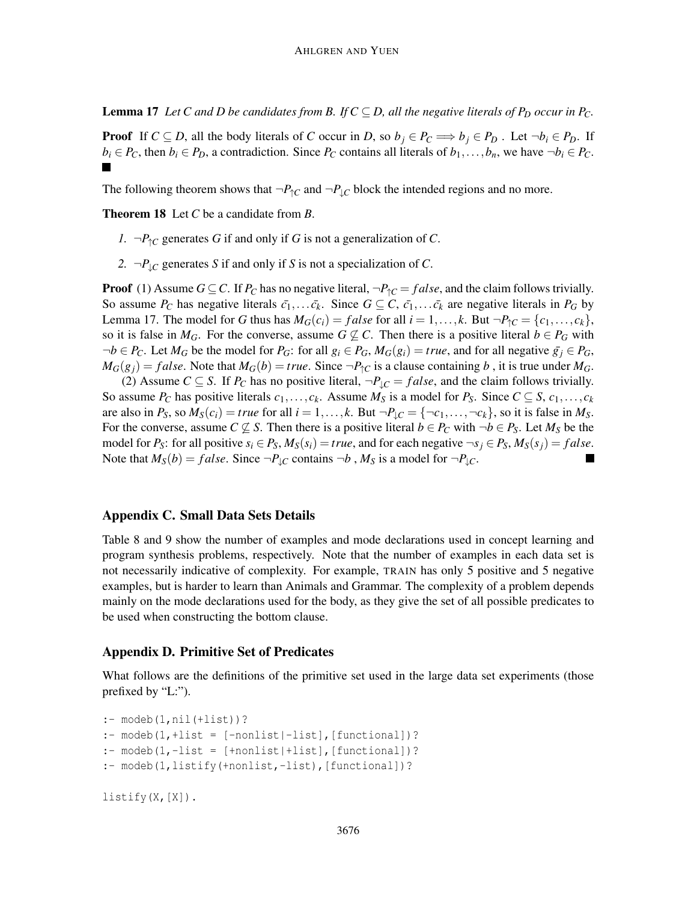**Lemma 17** *Let C and D be candidates from B. If*  $C \subseteq D$ *, all the negative literals of P<sub>D</sub> <i>occur in P<sub>C</sub>*.

**Proof** If  $C \subseteq D$ , all the body literals of *C* occur in *D*, so  $b_j \in P_C \Longrightarrow b_j \in P_D$ . Let  $\neg b_i \in P_D$ . If  $b_i \in P_C$ , then  $b_i \in P_D$ , a contradiction. Since  $P_C$  contains all literals of  $b_1, \ldots, b_n$ , we have  $\neg b_i \in P_C$ .

The following theorem shows that  $\neg P_{\uparrow}C$  and  $\neg P_{\downarrow}C$  block the intended regions and no more.

Theorem 18 Let *C* be a candidate from *B*.

- *1.* ¬ $P_{\uparrow}C$  generates *G* if and only if *G* is not a generalization of *C*.
- 2.  $\neg P_{\perp C}$  generates *S* if and only if *S* is not a specialization of *C*.

**Proof** (1) Assume  $G \subseteq C$ . If  $P_C$  has no negative literal,  $\neg P_{\uparrow C} = false$ , and the claim follows trivially. So assume  $P_C$  has negative literals  $\bar{c}_1,\ldots,\bar{c}_k$ . Since  $G \subseteq C$ ,  $\bar{c}_1,\ldots,\bar{c}_k$  are negative literals in  $P_G$  by Lemma 17. The model for *G* thus has  $M_G(c_i) = false$  for all  $i = 1, ..., k$ . But  $\neg P_{\uparrow C} = \{c_1, ..., c_k\}$ , so it is false in  $M_G$ . For the converse, assume  $G \not\subseteq C$ . Then there is a positive literal  $b \in P_G$  with  $\neg b \in P_C$ . Let  $M_G$  be the model for  $P_G$ : for all  $g_i \in P_G$ ,  $M_G(g_i) = true$ , and for all negative  $\overline{g}_i \in P_G$ ,  $M_G(g_i) = false$ . Note that  $M_G(b) = true$ . Since  $\neg P_{\uparrow C}$  is a clause containing *b*, it is true under  $M_G$ .

(2) Assume  $C \subseteq S$ . If  $P_C$  has no positive literal,  $\neg P_{\perp C} = false$ , and the claim follows trivially. So assume  $P_C$  has positive literals  $c_1, \ldots, c_k$ . Assume  $M_S$  is a model for  $P_S$ . Since  $C \subseteq S$ ,  $c_1, \ldots, c_k$ are also in  $P_S$ , so  $M_S(c_i) = true$  for all  $i = 1, ..., k$ . But  $\neg P_{\downarrow C} = {\neg c_1, ..., \neg c_k}$ , so it is false in  $M_S$ . For the converse, assume  $C \not\subseteq S$ . Then there is a positive literal  $b \in P_C$  with  $\neg b \in P_S$ . Let  $M_S$  be the model for  $P_S$ : for all positive  $s_i \in P_S$ ,  $M_S(s_i) = true$ , and for each negative  $\neg s_i \in P_S$ ,  $M_S(s_i) = false$ . Note that  $M_S(b) = false$ . Since  $\neg P_{\downarrow C}$  contains  $\neg b$ ,  $M_S$  is a model for  $\neg P_{\downarrow C}$ .

# Appendix C. Small Data Sets Details

Table 8 and 9 show the number of examples and mode declarations used in concept learning and program synthesis problems, respectively. Note that the number of examples in each data set is not necessarily indicative of complexity. For example, TRAIN has only 5 positive and 5 negative examples, but is harder to learn than Animals and Grammar. The complexity of a problem depends mainly on the mode declarations used for the body, as they give the set of all possible predicates to be used when constructing the bottom clause.

#### Appendix D. Primitive Set of Predicates

What follows are the definitions of the primitive set used in the large data set experiments (those prefixed by "L:").

```
:- modeb(1,nil(+list))?
: modeb(1,+list = [-nonlist]-list], [functional]?
: modeb(1,-list = [+nonlist|+list], [functional])?
:- modeb(1,listify(+nonlist,-list), [functional])?
listify(X, [X]).
```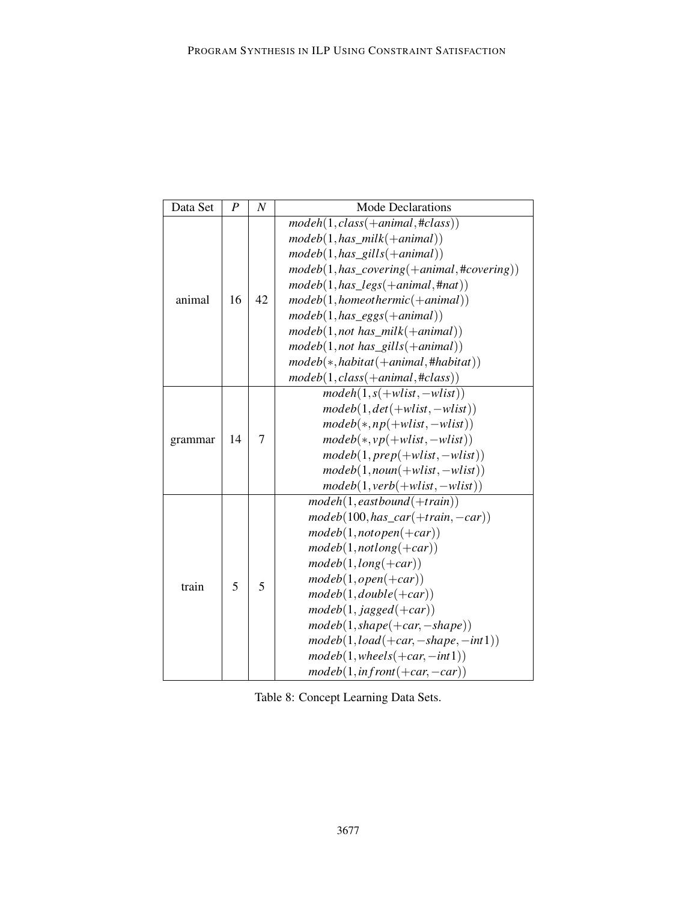| Data Set | $\boldsymbol{P}$ | $\boldsymbol{N}$ | <b>Mode Declarations</b>                       |
|----------|------------------|------------------|------------------------------------------------|
|          |                  |                  | $model(1, class(+animal, \#class))$            |
|          |                  |                  | $modeb(1, has\_milk(+animal))$                 |
|          |                  |                  | $modeb(1, has\_gills(+animal))$                |
|          |                  |                  | $modeb(1, has\_covering(+animal, \#covering))$ |
|          |                  |                  | $modeb(1, has\_legs(+animal, \text{#nat}))$    |
| animal   | 16               | 42               | $modeb(1, homeothermic(+animal))$              |
|          |                  |                  | $modeb(1, has\_eggs(+animal))$                 |
|          |                  |                  | $modeb(1, not has\_milk(+animal))$             |
|          |                  |                  | $modeb(1, not has_gills(+animal))$             |
|          |                  |                  | $model(*, habitat(+animal,#habitat))$          |
|          |                  |                  | $modeb(1, class(+animal, \#class))$            |
|          |                  |                  | $model(1, s(+wlist, -wlist))$                  |
|          |                  |                  | $modeb(1, det(+wlist, -wlist))$                |
|          |                  |                  | $modeb(*, np(+wlist, -wlist))$                 |
| grammar  | 14               | 7                | $modeb(*, vp(+wlist, -wlist))$                 |
|          |                  |                  | $modeb(1, prep(+wlist, -wlist))$               |
|          |                  |                  | $modeb(1, noun(+wlist, -wlist))$               |
|          |                  |                  | $modeb(1, verb(+wlist, -wlist))$               |
|          |                  |                  | $model(1, eastbound(+train))$                  |
|          |                  |                  | $modeb(100, has\_car(+train, -car))$           |
|          |                  |                  | $model(1, not open(+car))$                     |
|          |                  |                  | $model(1, notlong(+car))$                      |
|          |                  |                  | $modeb(1, long(+car))$                         |
|          | 5                | 5                | $model(1, open(+car))$                         |
| train    |                  |                  | $model(1, double(+car))$                       |
|          |                  |                  | $model(1, jagged(+car))$                       |
|          |                  |                  | $modeb(1, shape(+car, -shape))$                |
|          |                  |                  | $modeb(1, load(+car, -shape, -int1))$          |
|          |                  |                  | $modeb(1, wheels(+car, -int1))$                |
|          |                  |                  | $modeb(1, infront(+car, -car))$                |

Table 8: Concept Learning Data Sets.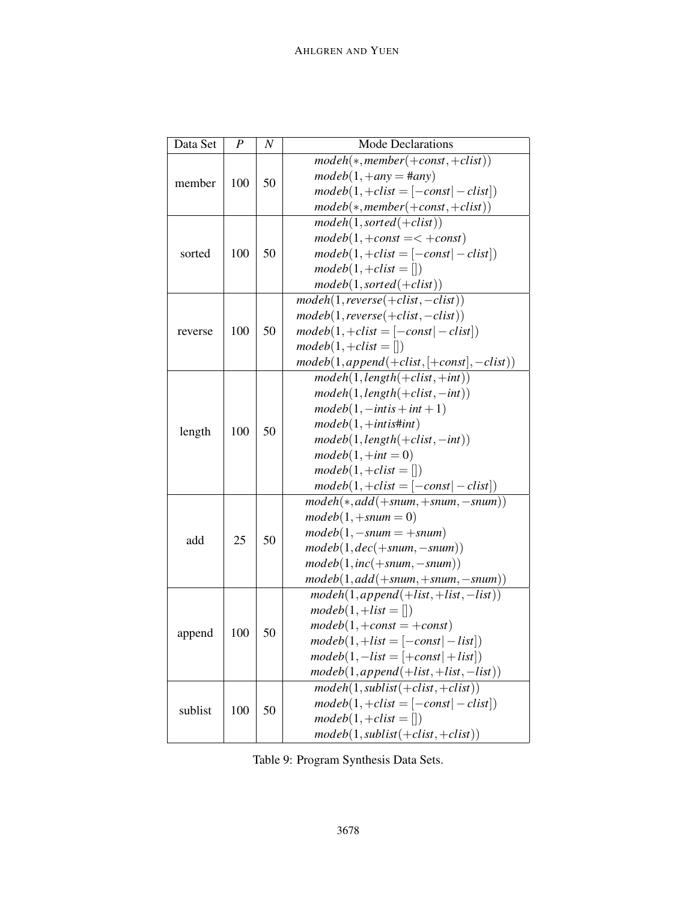| Data Set | P   | N         | <b>Mode Declarations</b>                     |
|----------|-----|-----------|----------------------------------------------|
|          |     |           | $model(*,member(+const, +clist))$            |
| member   |     |           | $modeb(1, +any = \#any)$                     |
|          | 100 | 50        | $modeb(1,+clist=[-const -clist])$            |
|          |     |           | $modeb(*,member(+const, +clist))$            |
|          |     |           | $model(1, sorted(+clist))$                   |
|          |     |           | $modeb(1, +const = < +const)$                |
| sorted   | 100 | 50        | $modeb(1,+clist=[-const -clist])$            |
|          |     |           | $modeb(1,+clist = []$                        |
|          |     |           | $modeb(1, sorted(+clist))$                   |
|          |     |           | $model(1, reverse(+clist, -clist))$          |
|          |     |           | $modeb(1, reverse(+clist, -clist))$          |
| reverse  | 100 | 50        | $modeb(1,+clist=[-const -clist])$            |
|          |     |           | $modeb(1,+clist = []$                        |
|          |     |           | $modeb(1, append(+clist, [+const], -clist))$ |
|          |     |           | $model(1, length(+clist, +int))$             |
|          |     |           | $model(1, length(+clist, -int))$             |
|          | 100 | 50        | $modeb(1, -intis + int + 1)$                 |
|          |     |           | $modeb(1, +intist\#int)$                     |
| length   |     |           | $modeb(1, length(+clist, -int))$             |
|          |     |           | $modeb(1, +int = 0)$                         |
|          |     |           | $modeb(1,+clist=$ [])                        |
|          |     |           | $modeb(1,+clist=[-const -clist])$            |
|          |     | 50        | $model(*, add(+snum, +snum, -snum))$         |
|          |     |           | $modeb(1, + \text{shum} = 0)$                |
| add      | 25  |           | $modeb(1, -snum = +snum)$                    |
|          |     |           | $modeb(1,dec(+snum,-snum))$                  |
|          |     |           | $modeb(1, inc(+snum, -snum))$                |
|          |     |           | $modeb(1, add(+snum,+snum,-snum))$           |
|          |     |           | $model(1, append(+list,+list,-list))$        |
|          |     |           | $modeb(1,+list = []$                         |
|          | 100 |           | $modeb(1, +const = +const)$                  |
| append   |     | 50        | $modeb(1,+list=[-const -list])$              |
|          |     |           | $modeb(1, -list = [+const] + list])$         |
|          |     |           | $modeb(1, append(+list,+list,-list))$        |
|          |     |           | $model(1, sublist(+clist,+clist))$           |
| sublist  |     | 100<br>50 | $modeb(1,+clist=[-const -clist])$            |
|          |     |           | $modeb(1,+clist = []$                        |
|          |     |           | $modeb(1, sublist(+clist,+clist))$           |

Table 9: Program Synthesis Data Sets.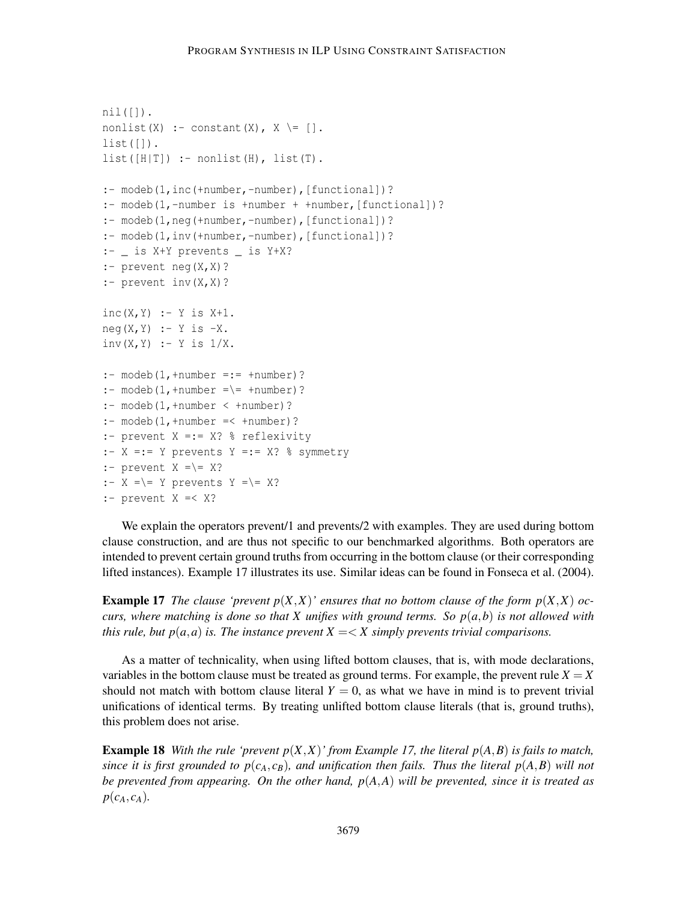```
nil([]).
nonlist(X) :- constant(X), X \equiv [].
list([]).
list([H|T]) :- nonlist(H), list(T).
:- modeb(1,inc(+number,-number), [functional])?
:- modeb(1,-number is +number + +number,[functional])?
:- modeb(1,neg(+number,-number),[functional])?
:- modeb(1,inv(+number,-number),[functional])?
:- _ is X+Y prevents _ is Y+X?
:- prevent neg(X,X)?
:- prevent inv(X,X)?
inc(X, Y) :- Y is X+1.
neg(X, Y) :- Y is -X.
inv(X, Y) :- Y is 1/X.
: modeb(1,+number =:= +number)?
:- modeb(1, +number == +number)?
: - modeb(1, +number < +number)?
: - modeb(1, +number =< +number)?
:- prevent X =:= X? % reflexivity
: - X == Y prevents Y == X? % symmetry
:- prevent X = \ = \ X?
:- X = \ = Y prevents Y = \ = X?
:- prevent X =< X?
```
We explain the operators prevent/1 and prevents/2 with examples. They are used during bottom clause construction, and are thus not specific to our benchmarked algorithms. Both operators are intended to prevent certain ground truths from occurring in the bottom clause (or their corresponding lifted instances). Example 17 illustrates its use. Similar ideas can be found in Fonseca et al. (2004).

**Example 17** *The clause 'prevent*  $p(X,X)$ ' *ensures that no bottom clause of the form*  $p(X,X)$  *occurs, where matching is done so that X unifies with ground terms. So*  $p(a,b)$  *is not allowed with this rule, but*  $p(a,a)$  *is. The instance prevent*  $X = \langle X \rangle$  *simply prevents trivial comparisons.* 

As a matter of technicality, when using lifted bottom clauses, that is, with mode declarations, variables in the bottom clause must be treated as ground terms. For example, the prevent rule  $X = X$ should not match with bottom clause literal  $Y = 0$ , as what we have in mind is to prevent trivial unifications of identical terms. By treating unlifted bottom clause literals (that is, ground truths), this problem does not arise.

**Example 18** *With the rule 'prevent*  $p(X,X)$ *' from Example 17, the literal*  $p(A,B)$  *is fails to match, since it is first grounded to*  $p(c_A, c_B)$ *, and unification then fails. Thus the literal*  $p(A, B)$  *will not be prevented from appearing. On the other hand, p*(*A*,*A*) *will be prevented, since it is treated as*  $p(c_A, c_A)$ .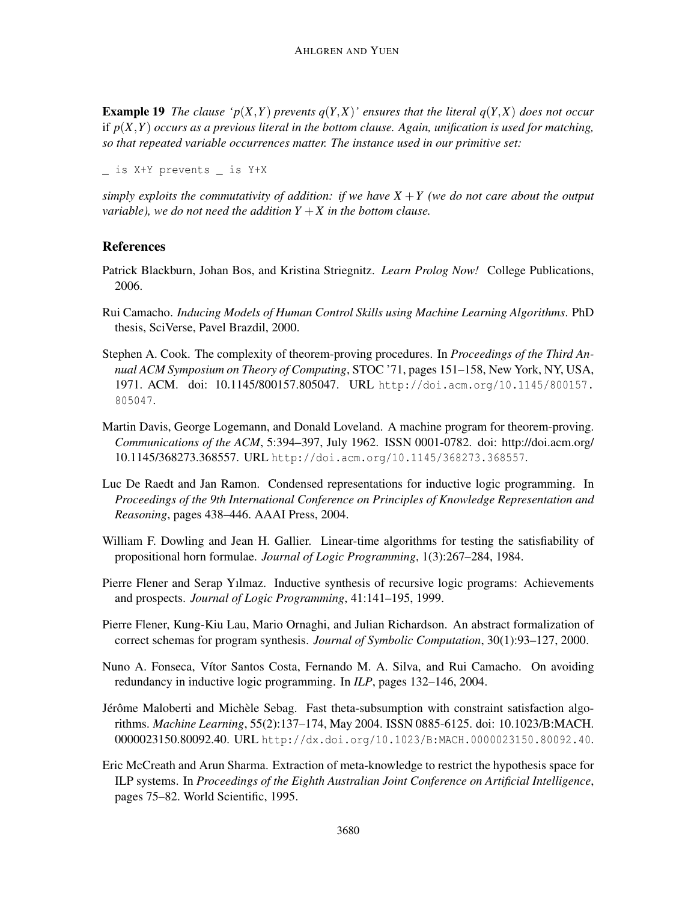**Example 19** *The clause 'p*(*X,Y*) *prevents q*(*Y,X*)*' ensures that the literal q*(*Y,X*) *does not occur* if *p*(*X*,*Y*) *occurs as a previous literal in the bottom clause. Again, unification is used for matching, so that repeated variable occurrences matter. The instance used in our primitive set:*

```
_ is X+Y prevents _ is Y+X
```
*simply exploits the commutativity of addition: if we have*  $X + Y$  (we do not care about the output *variable*), we do not need the addition  $Y + X$  in the bottom clause.

# References

- Patrick Blackburn, Johan Bos, and Kristina Striegnitz. *Learn Prolog Now!* College Publications, 2006.
- Rui Camacho. *Inducing Models of Human Control Skills using Machine Learning Algorithms*. PhD thesis, SciVerse, Pavel Brazdil, 2000.
- Stephen A. Cook. The complexity of theorem-proving procedures. In *Proceedings of the Third Annual ACM Symposium on Theory of Computing*, STOC '71, pages 151–158, New York, NY, USA, 1971. ACM. doi: 10.1145/800157.805047. URL http://doi.acm.org/10.1145/800157. 805047.
- Martin Davis, George Logemann, and Donald Loveland. A machine program for theorem-proving. *Communications of the ACM*, 5:394–397, July 1962. ISSN 0001-0782. doi: http://doi.acm.org/ 10.1145/368273.368557. URL http://doi.acm.org/10.1145/368273.368557.
- Luc De Raedt and Jan Ramon. Condensed representations for inductive logic programming. In *Proceedings of the 9th International Conference on Principles of Knowledge Representation and Reasoning*, pages 438–446. AAAI Press, 2004.
- William F. Dowling and Jean H. Gallier. Linear-time algorithms for testing the satisfiability of propositional horn formulae. *Journal of Logic Programming*, 1(3):267–284, 1984.
- Pierre Flener and Serap Yılmaz. Inductive synthesis of recursive logic programs: Achievements and prospects. *Journal of Logic Programming*, 41:141–195, 1999.
- Pierre Flener, Kung-Kiu Lau, Mario Ornaghi, and Julian Richardson. An abstract formalization of correct schemas for program synthesis. *Journal of Symbolic Computation*, 30(1):93–127, 2000.
- Nuno A. Fonseca, Vítor Santos Costa, Fernando M. A. Silva, and Rui Camacho. On avoiding redundancy in inductive logic programming. In *ILP*, pages 132–146, 2004.
- Jérôme Maloberti and Michèle Sebag. Fast theta-subsumption with constraint satisfaction algorithms. *Machine Learning*, 55(2):137–174, May 2004. ISSN 0885-6125. doi: 10.1023/B:MACH. 0000023150.80092.40. URL http://dx.doi.org/10.1023/B:MACH.0000023150.80092.40.
- Eric McCreath and Arun Sharma. Extraction of meta-knowledge to restrict the hypothesis space for ILP systems. In *Proceedings of the Eighth Australian Joint Conference on Artificial Intelligence*, pages 75–82. World Scientific, 1995.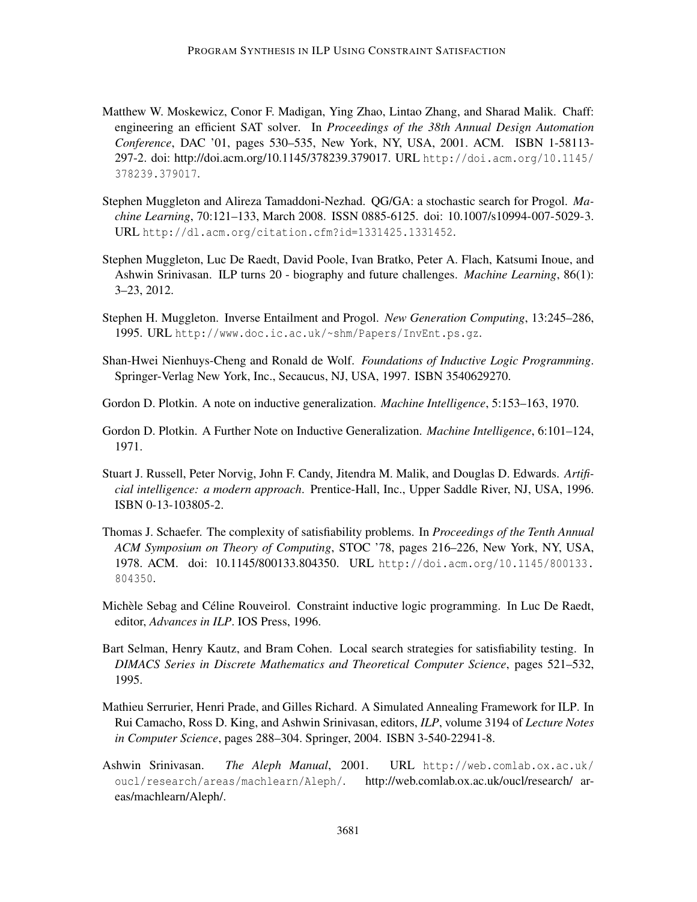- Matthew W. Moskewicz, Conor F. Madigan, Ying Zhao, Lintao Zhang, and Sharad Malik. Chaff: engineering an efficient SAT solver. In *Proceedings of the 38th Annual Design Automation Conference*, DAC '01, pages 530–535, New York, NY, USA, 2001. ACM. ISBN 1-58113- 297-2. doi: http://doi.acm.org/10.1145/378239.379017. URL http://doi.acm.org/10.1145/ 378239.379017.
- Stephen Muggleton and Alireza Tamaddoni-Nezhad. QG/GA: a stochastic search for Progol. *Machine Learning*, 70:121–133, March 2008. ISSN 0885-6125. doi: 10.1007/s10994-007-5029-3. URL http://dl.acm.org/citation.cfm?id=1331425.1331452.
- Stephen Muggleton, Luc De Raedt, David Poole, Ivan Bratko, Peter A. Flach, Katsumi Inoue, and Ashwin Srinivasan. ILP turns 20 - biography and future challenges. *Machine Learning*, 86(1): 3–23, 2012.
- Stephen H. Muggleton. Inverse Entailment and Progol. *New Generation Computing*, 13:245–286, 1995. URL http://www.doc.ic.ac.uk/~shm/Papers/InvEnt.ps.gz.
- Shan-Hwei Nienhuys-Cheng and Ronald de Wolf. *Foundations of Inductive Logic Programming*. Springer-Verlag New York, Inc., Secaucus, NJ, USA, 1997. ISBN 3540629270.
- Gordon D. Plotkin. A note on inductive generalization. *Machine Intelligence*, 5:153–163, 1970.
- Gordon D. Plotkin. A Further Note on Inductive Generalization. *Machine Intelligence*, 6:101–124, 1971.
- Stuart J. Russell, Peter Norvig, John F. Candy, Jitendra M. Malik, and Douglas D. Edwards. *Artificial intelligence: a modern approach*. Prentice-Hall, Inc., Upper Saddle River, NJ, USA, 1996. ISBN 0-13-103805-2.
- Thomas J. Schaefer. The complexity of satisfiability problems. In *Proceedings of the Tenth Annual ACM Symposium on Theory of Computing*, STOC '78, pages 216–226, New York, NY, USA, 1978. ACM. doi: 10.1145/800133.804350. URL http://doi.acm.org/10.1145/800133. 804350.
- Michèle Sebag and Céline Rouveirol. Constraint inductive logic programming. In Luc De Raedt, editor, *Advances in ILP*. IOS Press, 1996.
- Bart Selman, Henry Kautz, and Bram Cohen. Local search strategies for satisfiability testing. In *DIMACS Series in Discrete Mathematics and Theoretical Computer Science*, pages 521–532, 1995.
- Mathieu Serrurier, Henri Prade, and Gilles Richard. A Simulated Annealing Framework for ILP. In Rui Camacho, Ross D. King, and Ashwin Srinivasan, editors, *ILP*, volume 3194 of *Lecture Notes in Computer Science*, pages 288–304. Springer, 2004. ISBN 3-540-22941-8.
- Ashwin Srinivasan. *The Aleph Manual*, 2001. URL http://web.comlab.ox.ac.uk/ oucl/research/areas/machlearn/Aleph/. http://web.comlab.ox.ac.uk/oucl/research/ areas/machlearn/Aleph/.